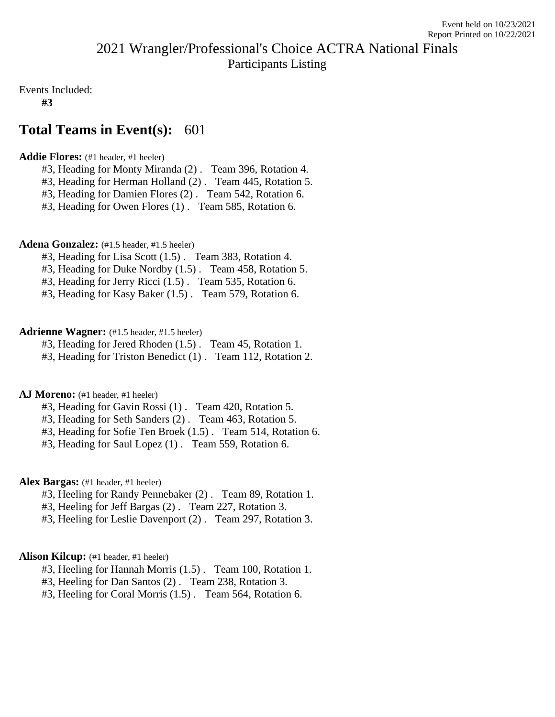# 2021 Wrangler/Professional's Choice ACTRA National Finals Participants Listing

Events Included:

**#3**

# **Total Teams in Event(s):** 601

# **Addie Flores:** (#1 header, #1 heeler)

- #3, Heading for Monty Miranda (2) . Team 396, Rotation 4.
- #3, Heading for Herman Holland (2) . Team 445, Rotation 5.
- #3, Heading for Damien Flores (2) . Team 542, Rotation 6.
- #3, Heading for Owen Flores (1) . Team 585, Rotation 6.

# Adena Gonzalez: (#1.5 header, #1.5 heeler)

- #3, Heading for Lisa Scott (1.5) . Team 383, Rotation 4.
- #3, Heading for Duke Nordby (1.5) . Team 458, Rotation 5.
- #3, Heading for Jerry Ricci (1.5) . Team 535, Rotation 6.
- #3, Heading for Kasy Baker (1.5) . Team 579, Rotation 6.

# **Adrienne Wagner:** (#1.5 header, #1.5 heeler)

- #3, Heading for Jered Rhoden (1.5) . Team 45, Rotation 1.
- #3, Heading for Triston Benedict (1) . Team 112, Rotation 2.

# AJ Moreno: (#1 header, #1 heeler)

- #3, Heading for Gavin Rossi (1) . Team 420, Rotation 5.
- #3, Heading for Seth Sanders (2) . Team 463, Rotation 5.
- #3, Heading for Sofie Ten Broek (1.5) . Team 514, Rotation 6.
- #3, Heading for Saul Lopez (1) . Team 559, Rotation 6.

# Alex Bargas: (#1 header, #1 heeler)

- #3, Heeling for Randy Pennebaker (2) . Team 89, Rotation 1.
- #3, Heeling for Jeff Bargas (2) . Team 227, Rotation 3.
- #3, Heeling for Leslie Davenport (2) . Team 297, Rotation 3.

# Alison Kilcup: (#1 header, #1 heeler)

- #3, Heeling for Hannah Morris (1.5) . Team 100, Rotation 1.
- #3, Heeling for Dan Santos (2) . Team 238, Rotation 3.
- #3, Heeling for Coral Morris (1.5) . Team 564, Rotation 6.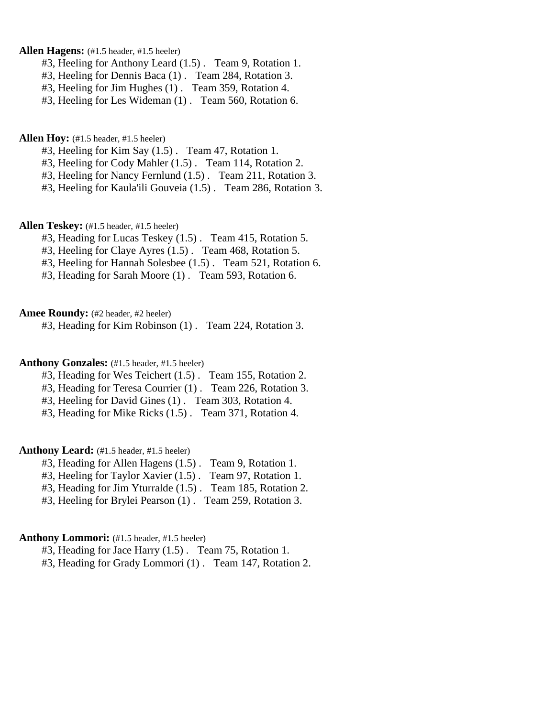# **Allen Hagens:** (#1.5 header, #1.5 heeler)

- #3, Heeling for Anthony Leard (1.5) . Team 9, Rotation 1.
- #3, Heeling for Dennis Baca (1) . Team 284, Rotation 3.
- #3, Heeling for Jim Hughes (1) . Team 359, Rotation 4.
- #3, Heeling for Les Wideman (1) . Team 560, Rotation 6.

# **Allen Hoy:** (#1.5 header, #1.5 heeler)

- #3, Heeling for Kim Say (1.5) . Team 47, Rotation 1.
- #3, Heeling for Cody Mahler (1.5) . Team 114, Rotation 2.
- #3, Heeling for Nancy Fernlund (1.5) . Team 211, Rotation 3.
- #3, Heeling for Kaula'ili Gouveia (1.5) . Team 286, Rotation 3.

# Allen Teskey: (#1.5 header, #1.5 heeler)

- #3, Heading for Lucas Teskey (1.5) . Team 415, Rotation 5.
- #3, Heeling for Claye Ayres (1.5) . Team 468, Rotation 5.
- #3, Heeling for Hannah Solesbee (1.5) . Team 521, Rotation 6.
- #3, Heading for Sarah Moore (1) . Team 593, Rotation 6.

### Amee Roundy: (#2 header, #2 heeler)

#3, Heading for Kim Robinson (1) . Team 224, Rotation 3.

### Anthony Gonzales: (#1.5 header, #1.5 heeler)

- #3, Heading for Wes Teichert (1.5) . Team 155, Rotation 2.
- #3, Heading for Teresa Courrier (1) . Team 226, Rotation 3.
- #3, Heeling for David Gines (1) . Team 303, Rotation 4.

#3, Heading for Mike Ricks (1.5) . Team 371, Rotation 4.

### Anthony Leard: (#1.5 header, #1.5 heeler)

- #3, Heading for Allen Hagens (1.5) . Team 9, Rotation 1.
- #3, Heeling for Taylor Xavier (1.5) . Team 97, Rotation 1.
- #3, Heading for Jim Yturralde (1.5) . Team 185, Rotation 2.
- #3, Heeling for Brylei Pearson (1) . Team 259, Rotation 3.

### Anthony Lommori: (#1.5 header, #1.5 heeler)

- #3, Heading for Jace Harry (1.5) . Team 75, Rotation 1.
- #3, Heading for Grady Lommori (1) . Team 147, Rotation 2.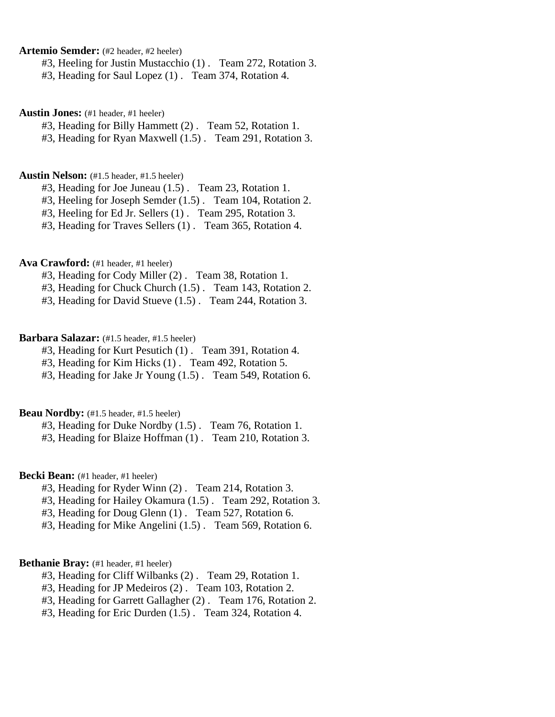**Artemio Semder:** (#2 header, #2 heeler)

#3, Heeling for Justin Mustacchio (1) . Team 272, Rotation 3.

#3, Heading for Saul Lopez (1) . Team 374, Rotation 4.

**Austin Jones:** (#1 header, #1 heeler)

#3, Heading for Billy Hammett (2) . Team 52, Rotation 1.

#3, Heading for Ryan Maxwell (1.5) . Team 291, Rotation 3.

# **Austin Nelson:** (#1.5 header, #1.5 heeler)

#3, Heading for Joe Juneau (1.5) . Team 23, Rotation 1.

#3, Heeling for Joseph Semder (1.5) . Team 104, Rotation 2.

#3, Heeling for Ed Jr. Sellers (1) . Team 295, Rotation 3.

#3, Heading for Traves Sellers (1) . Team 365, Rotation 4.

# Ava Crawford: (#1 header, #1 heeler)

#3, Heading for Cody Miller (2) . Team 38, Rotation 1.

#3, Heading for Chuck Church (1.5) . Team 143, Rotation 2.

#3, Heading for David Stueve (1.5) . Team 244, Rotation 3.

# **Barbara Salazar:** (#1.5 header, #1.5 heeler)

#3, Heading for Kurt Pesutich (1) . Team 391, Rotation 4.

#3, Heading for Kim Hicks (1) . Team 492, Rotation 5.

#3, Heading for Jake Jr Young (1.5) . Team 549, Rotation 6.

# Beau Nordby: (#1.5 header, #1.5 heeler)

#3, Heading for Duke Nordby (1.5) . Team 76, Rotation 1.

#3, Heading for Blaize Hoffman (1) . Team 210, Rotation 3.

# **Becki Bean:** (#1 header, #1 heeler)

- #3, Heading for Ryder Winn (2) . Team 214, Rotation 3.
- #3, Heading for Hailey Okamura (1.5) . Team 292, Rotation 3.
- #3, Heading for Doug Glenn (1) . Team 527, Rotation 6.
- #3, Heading for Mike Angelini (1.5) . Team 569, Rotation 6.

# Bethanie Bray: (#1 header, #1 heeler)

- #3, Heading for Cliff Wilbanks (2) . Team 29, Rotation 1.
- #3, Heading for JP Medeiros (2) . Team 103, Rotation 2.
- #3, Heading for Garrett Gallagher (2) . Team 176, Rotation 2.
- #3, Heading for Eric Durden (1.5) . Team 324, Rotation 4.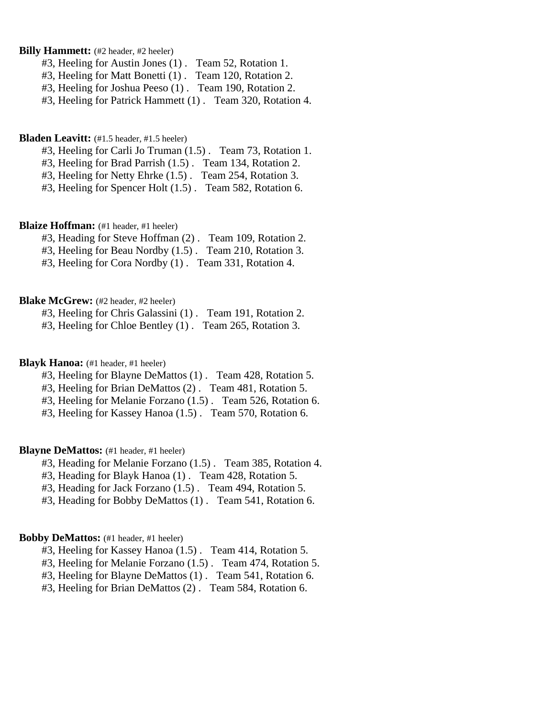### **Billy Hammett:** (#2 header, #2 heeler)

- #3, Heeling for Austin Jones (1) . Team 52, Rotation 1.
- #3, Heeling for Matt Bonetti (1) . Team 120, Rotation 2.
- #3, Heeling for Joshua Peeso (1) . Team 190, Rotation 2.
- #3, Heeling for Patrick Hammett (1) . Team 320, Rotation 4.

#### **Bladen Leavitt:** (#1.5 header, #1.5 heeler)

- #3, Heeling for Carli Jo Truman (1.5) . Team 73, Rotation 1.
- #3, Heeling for Brad Parrish (1.5) . Team 134, Rotation 2.
- #3, Heeling for Netty Ehrke (1.5) . Team 254, Rotation 3.
- #3, Heeling for Spencer Holt (1.5) . Team 582, Rotation 6.

# **Blaize Hoffman:** (#1 header, #1 heeler)

- #3, Heading for Steve Hoffman (2) . Team 109, Rotation 2.
- #3, Heeling for Beau Nordby (1.5) . Team 210, Rotation 3.
- #3, Heeling for Cora Nordby (1) . Team 331, Rotation 4.

#### **Blake McGrew:** (#2 header, #2 heeler)

- #3, Heeling for Chris Galassini (1) . Team 191, Rotation 2.
- #3, Heeling for Chloe Bentley (1) . Team 265, Rotation 3.

### **Blayk Hanoa:** (#1 header, #1 heeler)

- #3, Heeling for Blayne DeMattos (1) . Team 428, Rotation 5.
- #3, Heeling for Brian DeMattos (2) . Team 481, Rotation 5.
- #3, Heeling for Melanie Forzano (1.5) . Team 526, Rotation 6.
- #3, Heeling for Kassey Hanoa (1.5) . Team 570, Rotation 6.

### **Blayne DeMattos:** (#1 header, #1 heeler)

- #3, Heading for Melanie Forzano (1.5) . Team 385, Rotation 4.
- #3, Heading for Blayk Hanoa (1) . Team 428, Rotation 5.
- #3, Heading for Jack Forzano (1.5) . Team 494, Rotation 5.
- #3, Heading for Bobby DeMattos (1) . Team 541, Rotation 6.

# **Bobby DeMattos:** (#1 header, #1 heeler)

- #3, Heeling for Kassey Hanoa (1.5) . Team 414, Rotation 5.
- #3, Heeling for Melanie Forzano (1.5) . Team 474, Rotation 5.
- #3, Heeling for Blayne DeMattos (1) . Team 541, Rotation 6.
- #3, Heeling for Brian DeMattos (2) . Team 584, Rotation 6.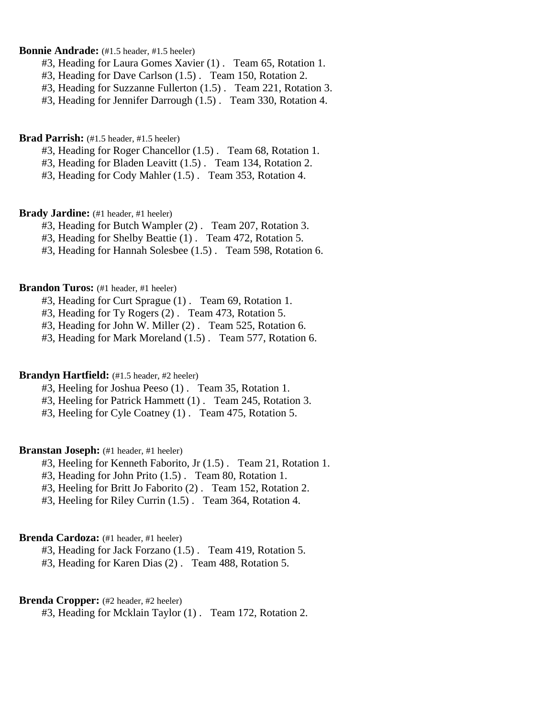### **Bonnie Andrade:** (#1.5 header, #1.5 heeler)

- #3, Heading for Laura Gomes Xavier (1) . Team 65, Rotation 1.
- #3, Heading for Dave Carlson (1.5) . Team 150, Rotation 2.
- #3, Heading for Suzzanne Fullerton (1.5) . Team 221, Rotation 3.
- #3, Heading for Jennifer Darrough (1.5) . Team 330, Rotation 4.

#### **Brad Parrish:** (#1.5 header, #1.5 heeler)

- #3, Heading for Roger Chancellor (1.5) . Team 68, Rotation 1.
- #3, Heading for Bladen Leavitt (1.5) . Team 134, Rotation 2.
- #3, Heading for Cody Mahler (1.5) . Team 353, Rotation 4.

# Brady Jardine: (#1 header, #1 heeler)

- #3, Heading for Butch Wampler (2) . Team 207, Rotation 3.
- #3, Heading for Shelby Beattie (1) . Team 472, Rotation 5.
- #3, Heading for Hannah Solesbee (1.5) . Team 598, Rotation 6.

#### **Brandon Turos:** (#1 header, #1 heeler)

- #3, Heading for Curt Sprague (1) . Team 69, Rotation 1.
- #3, Heading for Ty Rogers (2) . Team 473, Rotation 5.
- #3, Heading for John W. Miller (2) . Team 525, Rotation 6.
- #3, Heading for Mark Moreland (1.5) . Team 577, Rotation 6.

# **Brandyn Hartfield:** (#1.5 header, #2 heeler)

- #3, Heeling for Joshua Peeso (1) . Team 35, Rotation 1.
- #3, Heeling for Patrick Hammett (1) . Team 245, Rotation 3.
- #3, Heeling for Cyle Coatney (1) . Team 475, Rotation 5.

### **Branstan Joseph:** (#1 header, #1 heeler)

- #3, Heeling for Kenneth Faborito, Jr (1.5) . Team 21, Rotation 1.
- #3, Heading for John Prito (1.5) . Team 80, Rotation 1.
- #3, Heeling for Britt Jo Faborito (2) . Team 152, Rotation 2.
- #3, Heeling for Riley Currin (1.5) . Team 364, Rotation 4.

# **Brenda Cardoza:** (#1 header, #1 heeler)

- #3, Heading for Jack Forzano (1.5) . Team 419, Rotation 5.
- #3, Heading for Karen Dias (2) . Team 488, Rotation 5.

#### **Brenda Cropper:** (#2 header, #2 heeler)

#3, Heading for Mcklain Taylor (1) . Team 172, Rotation 2.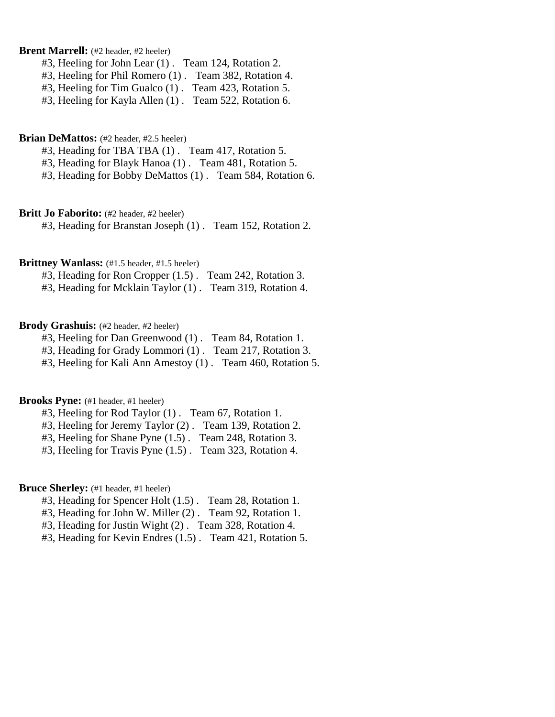# **Brent Marrell:** (#2 header, #2 heeler)

- #3, Heeling for John Lear (1) . Team 124, Rotation 2.
- #3, Heeling for Phil Romero (1) . Team 382, Rotation 4.
- #3, Heeling for Tim Gualco (1) . Team 423, Rotation 5.
- #3, Heeling for Kayla Allen (1) . Team 522, Rotation 6.

### **Brian DeMattos:** (#2 header, #2.5 heeler)

- #3, Heading for TBA TBA (1) . Team 417, Rotation 5.
- #3, Heading for Blayk Hanoa (1) . Team 481, Rotation 5.
- #3, Heading for Bobby DeMattos (1) . Team 584, Rotation 6.

#### **Britt Jo Faborito:** (#2 header, #2 heeler)

#3, Heading for Branstan Joseph (1) . Team 152, Rotation 2.

### **Brittney Wanlass:** (#1.5 header, #1.5 heeler)

- #3, Heading for Ron Cropper (1.5) . Team 242, Rotation 3.
- #3, Heading for Mcklain Taylor (1) . Team 319, Rotation 4.

# Brody Grashuis: (#2 header, #2 heeler)

- #3, Heeling for Dan Greenwood (1) . Team 84, Rotation 1.
- #3, Heading for Grady Lommori (1) . Team 217, Rotation 3.
- #3, Heeling for Kali Ann Amestoy (1) . Team 460, Rotation 5.

# **Brooks Pyne:** (#1 header, #1 heeler)

- #3, Heeling for Rod Taylor (1) . Team 67, Rotation 1.
- #3, Heeling for Jeremy Taylor (2) . Team 139, Rotation 2.
- #3, Heeling for Shane Pyne (1.5) . Team 248, Rotation 3.
- #3, Heeling for Travis Pyne (1.5) . Team 323, Rotation 4.

# Bruce Sherley: (#1 header, #1 heeler)

- #3, Heading for Spencer Holt (1.5) . Team 28, Rotation 1.
- #3, Heading for John W. Miller (2) . Team 92, Rotation 1.
- #3, Heading for Justin Wight (2) . Team 328, Rotation 4.
- #3, Heading for Kevin Endres (1.5) . Team 421, Rotation 5.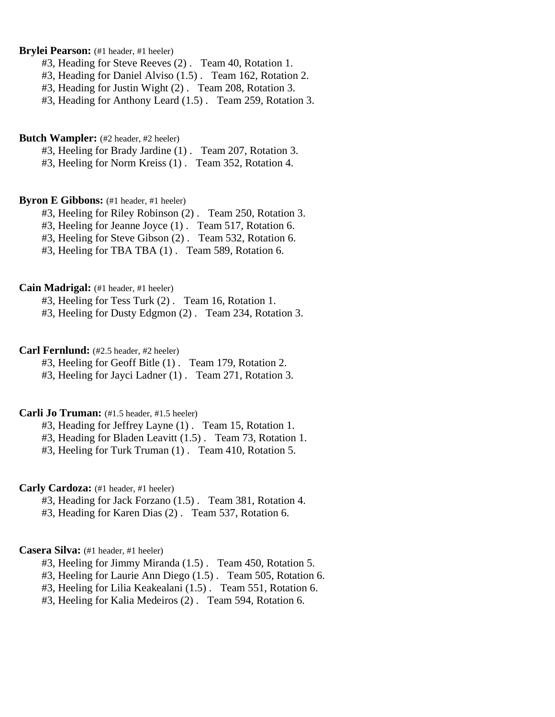# Brylei Pearson: (#1 header, #1 heeler)

- #3, Heading for Steve Reeves (2) . Team 40, Rotation 1.
- #3, Heading for Daniel Alviso (1.5) . Team 162, Rotation 2.
- #3, Heading for Justin Wight (2) . Team 208, Rotation 3.
- #3, Heading for Anthony Leard (1.5) . Team 259, Rotation 3.

### **Butch Wampler:** (#2 header, #2 heeler)

#3, Heeling for Brady Jardine (1) . Team 207, Rotation 3.

#3, Heeling for Norm Kreiss (1) . Team 352, Rotation 4.

### **Byron E Gibbons:** (#1 header, #1 heeler)

- #3, Heeling for Riley Robinson (2) . Team 250, Rotation 3.
- #3, Heeling for Jeanne Joyce (1) . Team 517, Rotation 6.
- #3, Heeling for Steve Gibson (2) . Team 532, Rotation 6.
- #3, Heeling for TBA TBA (1) . Team 589, Rotation 6.

### **Cain Madrigal:** (#1 header, #1 heeler)

#3, Heeling for Tess Turk (2) . Team 16, Rotation 1.

#3, Heeling for Dusty Edgmon (2) . Team 234, Rotation 3.

# **Carl Fernlund:** (#2.5 header, #2 heeler)

- #3, Heeling for Geoff Bitle (1) . Team 179, Rotation 2.
- #3, Heeling for Jayci Ladner (1) . Team 271, Rotation 3.

# **Carli Jo Truman:** (#1.5 header, #1.5 heeler)

- #3, Heading for Jeffrey Layne (1) . Team 15, Rotation 1.
- #3, Heading for Bladen Leavitt (1.5) . Team 73, Rotation 1.
- #3, Heeling for Turk Truman (1) . Team 410, Rotation 5.

# Carly Cardoza: (#1 header, #1 heeler)

- #3, Heading for Jack Forzano (1.5) . Team 381, Rotation 4.
- #3, Heading for Karen Dias (2) . Team 537, Rotation 6.

#### **Casera Silva:** (#1 header, #1 heeler)

- #3, Heeling for Jimmy Miranda (1.5) . Team 450, Rotation 5.
- #3, Heeling for Laurie Ann Diego (1.5) . Team 505, Rotation 6.
- #3, Heeling for Lilia Keakealani (1.5) . Team 551, Rotation 6.
- #3, Heeling for Kalia Medeiros (2) . Team 594, Rotation 6.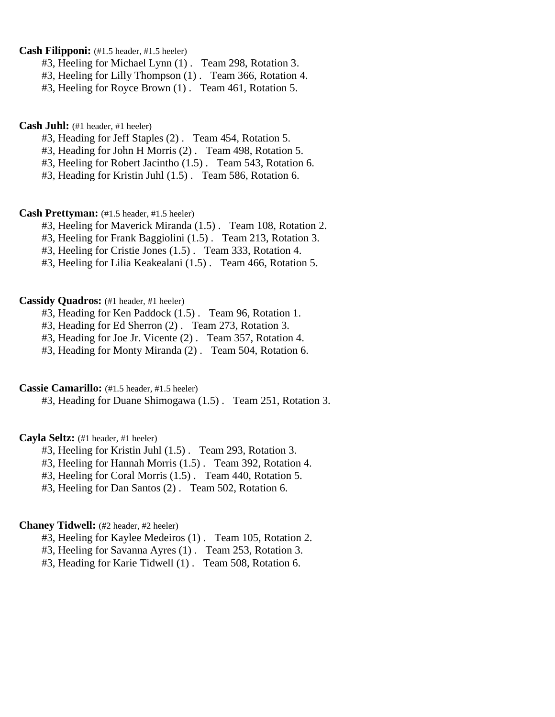**Cash Filipponi:** (#1.5 header, #1.5 heeler)

- #3, Heeling for Michael Lynn (1) . Team 298, Rotation 3.
- #3, Heeling for Lilly Thompson (1) . Team 366, Rotation 4.
- #3, Heeling for Royce Brown (1) . Team 461, Rotation 5.

# **Cash Juhl:** (#1 header, #1 heeler)

- #3, Heading for Jeff Staples (2) . Team 454, Rotation 5.
- #3, Heading for John H Morris (2) . Team 498, Rotation 5.
- #3, Heeling for Robert Jacintho (1.5) . Team 543, Rotation 6.
- #3, Heading for Kristin Juhl (1.5) . Team 586, Rotation 6.

### **Cash Prettyman:** (#1.5 header, #1.5 heeler)

- #3, Heeling for Maverick Miranda (1.5) . Team 108, Rotation 2.
- #3, Heeling for Frank Baggiolini (1.5) . Team 213, Rotation 3.
- #3, Heeling for Cristie Jones (1.5) . Team 333, Rotation 4.
- #3, Heeling for Lilia Keakealani (1.5) . Team 466, Rotation 5.

# **Cassidy Quadros:** (#1 header, #1 heeler)

- #3, Heading for Ken Paddock (1.5) . Team 96, Rotation 1.
- #3, Heading for Ed Sherron (2) . Team 273, Rotation 3.
- #3, Heading for Joe Jr. Vicente (2) . Team 357, Rotation 4.
- #3, Heading for Monty Miranda (2) . Team 504, Rotation 6.

# **Cassie Camarillo:** (#1.5 header, #1.5 heeler)

#3, Heading for Duane Shimogawa (1.5) . Team 251, Rotation 3.

# **Cayla Seltz:** (#1 header, #1 heeler)

- #3, Heeling for Kristin Juhl (1.5) . Team 293, Rotation 3.
- #3, Heeling for Hannah Morris (1.5) . Team 392, Rotation 4.
- #3, Heeling for Coral Morris (1.5) . Team 440, Rotation 5.
- #3, Heeling for Dan Santos (2) . Team 502, Rotation 6.

# **Chaney Tidwell:** (#2 header, #2 heeler)

- #3, Heeling for Kaylee Medeiros (1) . Team 105, Rotation 2.
- #3, Heeling for Savanna Ayres (1) . Team 253, Rotation 3.
- #3, Heading for Karie Tidwell (1) . Team 508, Rotation 6.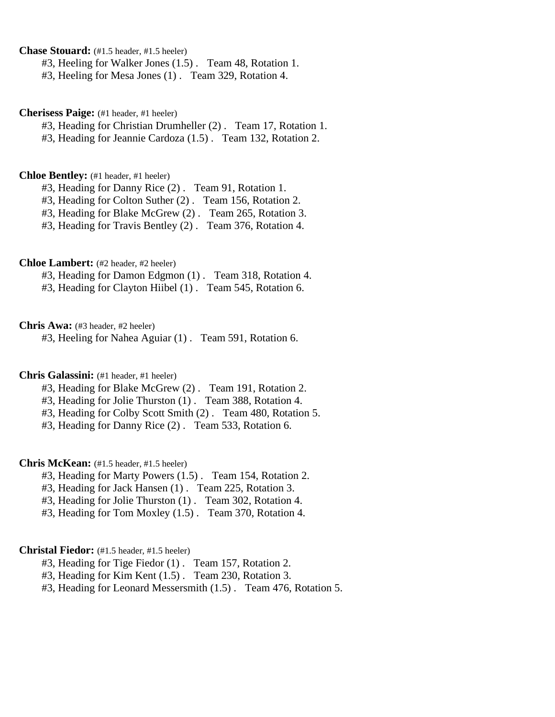**Chase Stouard:** (#1.5 header, #1.5 heeler)

#3, Heeling for Walker Jones (1.5) . Team 48, Rotation 1.

#3, Heeling for Mesa Jones (1) . Team 329, Rotation 4.

**Cherisess Paige:** (#1 header, #1 heeler)

#3, Heading for Christian Drumheller (2) . Team 17, Rotation 1.

#3, Heading for Jeannie Cardoza (1.5) . Team 132, Rotation 2.

# **Chloe Bentley:** (#1 header, #1 heeler)

#3, Heading for Danny Rice (2) . Team 91, Rotation 1.

#3, Heading for Colton Suther (2) . Team 156, Rotation 2.

#3, Heading for Blake McGrew (2) . Team 265, Rotation 3.

#3, Heading for Travis Bentley (2) . Team 376, Rotation 4.

**Chloe Lambert:** (#2 header, #2 heeler)

#3, Heading for Damon Edgmon (1) . Team 318, Rotation 4.

#3, Heading for Clayton Hiibel (1) . Team 545, Rotation 6.

**Chris Awa:** (#3 header, #2 heeler)

#3, Heeling for Nahea Aguiar (1) . Team 591, Rotation 6.

### **Chris Galassini:** (#1 header, #1 heeler)

#3, Heading for Blake McGrew (2) . Team 191, Rotation 2.

#3, Heading for Jolie Thurston (1) . Team 388, Rotation 4.

#3, Heading for Colby Scott Smith (2) . Team 480, Rotation 5.

#3, Heading for Danny Rice (2) . Team 533, Rotation 6.

# **Chris McKean:** (#1.5 header, #1.5 heeler)

#3, Heading for Marty Powers (1.5) . Team 154, Rotation 2.

#3, Heading for Jack Hansen (1) . Team 225, Rotation 3.

#3, Heading for Jolie Thurston (1) . Team 302, Rotation 4.

#3, Heading for Tom Moxley (1.5) . Team 370, Rotation 4.

# **Christal Fiedor:** (#1.5 header, #1.5 heeler)

#3, Heading for Tige Fiedor (1) . Team 157, Rotation 2.

#3, Heading for Kim Kent (1.5) . Team 230, Rotation 3.

#3, Heading for Leonard Messersmith (1.5) . Team 476, Rotation 5.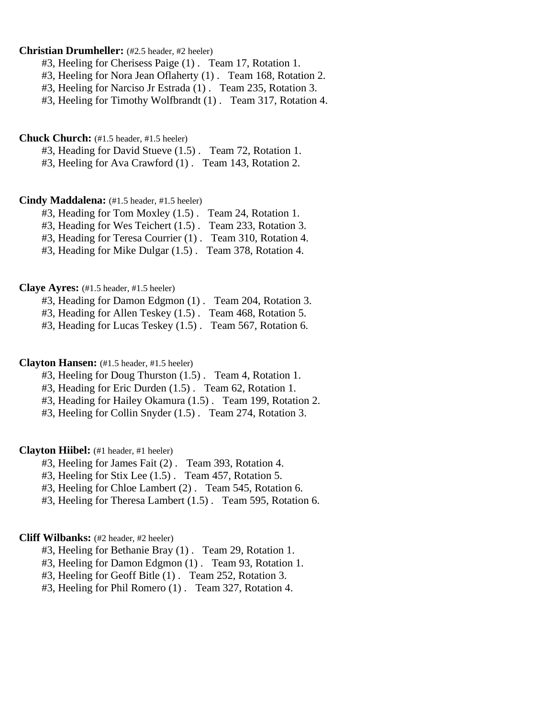### **Christian Drumheller:** (#2.5 header, #2 heeler)

#3, Heeling for Cherisess Paige (1) . Team 17, Rotation 1.

#3, Heeling for Nora Jean Oflaherty (1) . Team 168, Rotation 2.

#3, Heeling for Narciso Jr Estrada (1) . Team 235, Rotation 3.

#3, Heeling for Timothy Wolfbrandt (1) . Team 317, Rotation 4.

### **Chuck Church:** (#1.5 header, #1.5 heeler)

#3, Heading for David Stueve (1.5) . Team 72, Rotation 1.

#3, Heeling for Ava Crawford (1) . Team 143, Rotation 2.

### **Cindy Maddalena:** (#1.5 header, #1.5 heeler)

- #3, Heading for Tom Moxley (1.5) . Team 24, Rotation 1.
- #3, Heading for Wes Teichert (1.5) . Team 233, Rotation 3.
- #3, Heading for Teresa Courrier (1) . Team 310, Rotation 4.
- #3, Heading for Mike Dulgar (1.5) . Team 378, Rotation 4.

#### **Claye Ayres:** (#1.5 header, #1.5 heeler)

- #3, Heading for Damon Edgmon (1) . Team 204, Rotation 3.
- #3, Heading for Allen Teskey (1.5) . Team 468, Rotation 5.
- #3, Heading for Lucas Teskey (1.5) . Team 567, Rotation 6.

### **Clayton Hansen:** (#1.5 header, #1.5 heeler)

- #3, Heeling for Doug Thurston (1.5) . Team 4, Rotation 1.
- #3, Heading for Eric Durden (1.5) . Team 62, Rotation 1.
- #3, Heading for Hailey Okamura (1.5) . Team 199, Rotation 2.
- #3, Heeling for Collin Snyder (1.5) . Team 274, Rotation 3.

#### **Clayton Hiibel:** (#1 header, #1 heeler)

- #3, Heeling for James Fait (2) . Team 393, Rotation 4.
- #3, Heeling for Stix Lee (1.5) . Team 457, Rotation 5.
- #3, Heeling for Chloe Lambert (2) . Team 545, Rotation 6.
- #3, Heeling for Theresa Lambert (1.5) . Team 595, Rotation 6.

# **Cliff Wilbanks:** (#2 header, #2 heeler)

- #3, Heeling for Bethanie Bray (1) . Team 29, Rotation 1.
- #3, Heeling for Damon Edgmon (1) . Team 93, Rotation 1.
- #3, Heeling for Geoff Bitle (1) . Team 252, Rotation 3.
- #3, Heeling for Phil Romero (1) . Team 327, Rotation 4.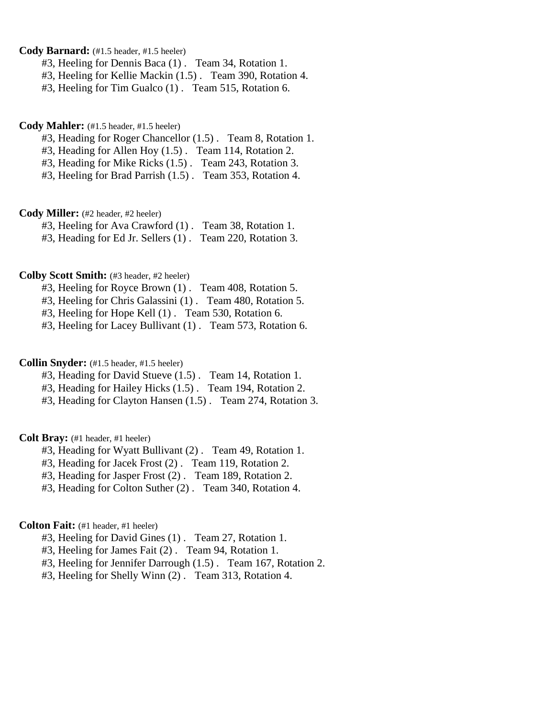# **Cody Barnard:** (#1.5 header, #1.5 heeler)

- #3, Heeling for Dennis Baca (1) . Team 34, Rotation 1.
- #3, Heeling for Kellie Mackin (1.5) . Team 390, Rotation 4.
- #3, Heeling for Tim Gualco (1) . Team 515, Rotation 6.

### **Cody Mahler:** (#1.5 header, #1.5 heeler)

- #3, Heading for Roger Chancellor (1.5) . Team 8, Rotation 1.
- #3, Heading for Allen Hoy (1.5) . Team 114, Rotation 2.
- #3, Heading for Mike Ricks (1.5) . Team 243, Rotation 3.
- #3, Heeling for Brad Parrish (1.5) . Team 353, Rotation 4.

#### **Cody Miller:** (#2 header, #2 heeler)

#3, Heeling for Ava Crawford (1) . Team 38, Rotation 1.

#3, Heading for Ed Jr. Sellers (1) . Team 220, Rotation 3.

### **Colby Scott Smith:** (#3 header, #2 heeler)

#3, Heeling for Royce Brown (1) . Team 408, Rotation 5.

- #3, Heeling for Chris Galassini (1) . Team 480, Rotation 5.
- #3, Heeling for Hope Kell (1) . Team 530, Rotation 6.
- #3, Heeling for Lacey Bullivant (1) . Team 573, Rotation 6.

# **Collin Snyder:** (#1.5 header, #1.5 heeler)

- #3, Heading for David Stueve (1.5) . Team 14, Rotation 1.
- #3, Heading for Hailey Hicks (1.5) . Team 194, Rotation 2.
- #3, Heading for Clayton Hansen (1.5) . Team 274, Rotation 3.

# **Colt Bray:** (#1 header, #1 heeler)

- #3, Heading for Wyatt Bullivant (2) . Team 49, Rotation 1.
- #3, Heading for Jacek Frost (2) . Team 119, Rotation 2.
- #3, Heading for Jasper Frost (2) . Team 189, Rotation 2.
- #3, Heading for Colton Suther (2) . Team 340, Rotation 4.

# **Colton Fait:** (#1 header, #1 heeler)

- #3, Heeling for David Gines (1) . Team 27, Rotation 1.
- #3, Heeling for James Fait (2) . Team 94, Rotation 1.
- #3, Heeling for Jennifer Darrough (1.5) . Team 167, Rotation 2.
- #3, Heeling for Shelly Winn (2) . Team 313, Rotation 4.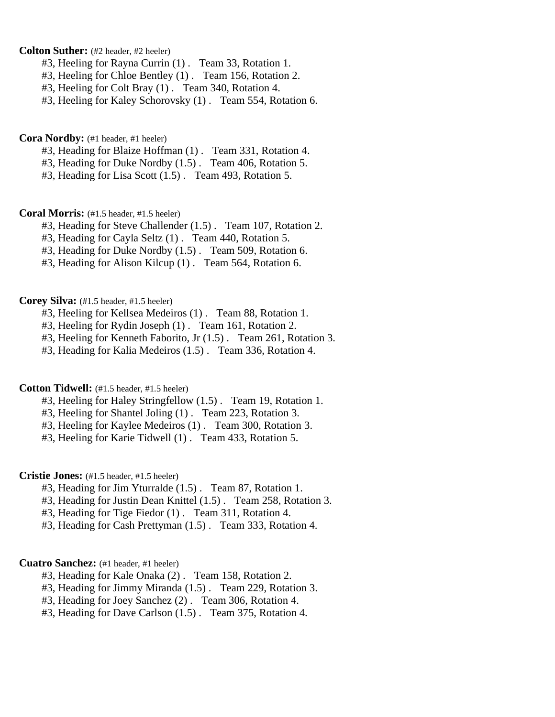**Colton Suther:** (#2 header, #2 heeler)

- #3, Heeling for Rayna Currin (1) . Team 33, Rotation 1.
- #3, Heeling for Chloe Bentley (1) . Team 156, Rotation 2.
- #3, Heeling for Colt Bray (1) . Team 340, Rotation 4.

#3, Heeling for Kaley Schorovsky (1) . Team 554, Rotation 6.

**Cora Nordby:** (#1 header, #1 heeler)

- #3, Heading for Blaize Hoffman (1) . Team 331, Rotation 4.
- #3, Heading for Duke Nordby (1.5) . Team 406, Rotation 5.
- #3, Heading for Lisa Scott (1.5) . Team 493, Rotation 5.

**Coral Morris:** (#1.5 header, #1.5 heeler)

- #3, Heading for Steve Challender (1.5) . Team 107, Rotation 2.
- #3, Heading for Cayla Seltz (1) . Team 440, Rotation 5.
- #3, Heading for Duke Nordby (1.5) . Team 509, Rotation 6.
- #3, Heading for Alison Kilcup (1) . Team 564, Rotation 6.

**Corey Silva:** (#1.5 header, #1.5 heeler)

- #3, Heeling for Kellsea Medeiros (1) . Team 88, Rotation 1.
- #3, Heeling for Rydin Joseph (1) . Team 161, Rotation 2.
- #3, Heeling for Kenneth Faborito, Jr (1.5) . Team 261, Rotation 3.
- #3, Heading for Kalia Medeiros (1.5) . Team 336, Rotation 4.

**Cotton Tidwell:** (#1.5 header, #1.5 heeler)

- #3, Heeling for Haley Stringfellow (1.5) . Team 19, Rotation 1.
- #3, Heeling for Shantel Joling (1) . Team 223, Rotation 3.
- #3, Heeling for Kaylee Medeiros (1) . Team 300, Rotation 3.
- #3, Heeling for Karie Tidwell (1) . Team 433, Rotation 5.

**Cristie Jones:** (#1.5 header, #1.5 heeler)

- #3, Heading for Jim Yturralde (1.5) . Team 87, Rotation 1.
- #3, Heading for Justin Dean Knittel (1.5) . Team 258, Rotation 3.
- #3, Heading for Tige Fiedor (1) . Team 311, Rotation 4.
- #3, Heading for Cash Prettyman (1.5) . Team 333, Rotation 4.

# **Cuatro Sanchez:** (#1 header, #1 heeler)

- #3, Heading for Kale Onaka (2) . Team 158, Rotation 2.
- #3, Heading for Jimmy Miranda (1.5) . Team 229, Rotation 3.
- #3, Heading for Joey Sanchez (2) . Team 306, Rotation 4.
- #3, Heading for Dave Carlson (1.5) . Team 375, Rotation 4.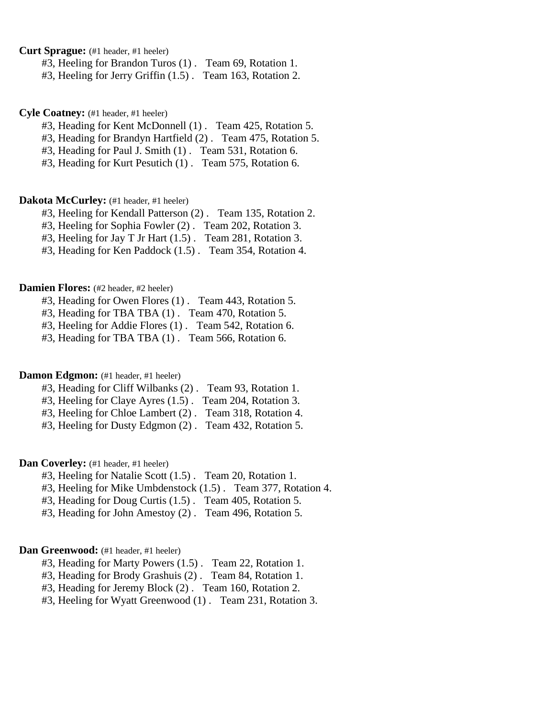**Curt Sprague:** (#1 header, #1 heeler)

#3, Heeling for Brandon Turos (1) . Team 69, Rotation 1.

#3, Heeling for Jerry Griffin (1.5) . Team 163, Rotation 2.

**Cyle Coatney:** (#1 header, #1 heeler)

#3, Heading for Kent McDonnell (1) . Team 425, Rotation 5.

#3, Heading for Brandyn Hartfield (2) . Team 475, Rotation 5.

#3, Heading for Paul J. Smith (1) . Team 531, Rotation 6.

#3, Heading for Kurt Pesutich (1) . Team 575, Rotation 6.

# **Dakota McCurley:** (#1 header, #1 heeler)

#3, Heeling for Kendall Patterson (2) . Team 135, Rotation 2.

#3, Heeling for Sophia Fowler (2) . Team 202, Rotation 3.

#3, Heeling for Jay T Jr Hart (1.5) . Team 281, Rotation 3.

#3, Heading for Ken Paddock (1.5) . Team 354, Rotation 4.

#### **Damien Flores:** (#2 header, #2 heeler)

#3, Heading for Owen Flores (1) . Team 443, Rotation 5.

#3, Heading for TBA TBA (1) . Team 470, Rotation 5.

#3, Heeling for Addie Flores (1) . Team 542, Rotation 6.

#3, Heading for TBA TBA (1) . Team 566, Rotation 6.

# **Damon Edgmon:** (#1 header, #1 heeler)

- #3, Heading for Cliff Wilbanks (2) . Team 93, Rotation 1.
- #3, Heeling for Claye Ayres (1.5) . Team 204, Rotation 3.
- #3, Heeling for Chloe Lambert (2) . Team 318, Rotation 4.

#3, Heeling for Dusty Edgmon (2) . Team 432, Rotation 5.

**Dan Coverley:** (#1 header, #1 heeler)

#3, Heeling for Natalie Scott (1.5) . Team 20, Rotation 1.

#3, Heeling for Mike Umbdenstock (1.5) . Team 377, Rotation 4.

#3, Heading for Doug Curtis (1.5) . Team 405, Rotation 5.

#3, Heading for John Amestoy (2) . Team 496, Rotation 5.

# Dan Greenwood: (#1 header, #1 heeler)

#3, Heading for Marty Powers (1.5) . Team 22, Rotation 1.

#3, Heading for Brody Grashuis (2) . Team 84, Rotation 1.

#3, Heading for Jeremy Block (2) . Team 160, Rotation 2.

#3, Heeling for Wyatt Greenwood (1) . Team 231, Rotation 3.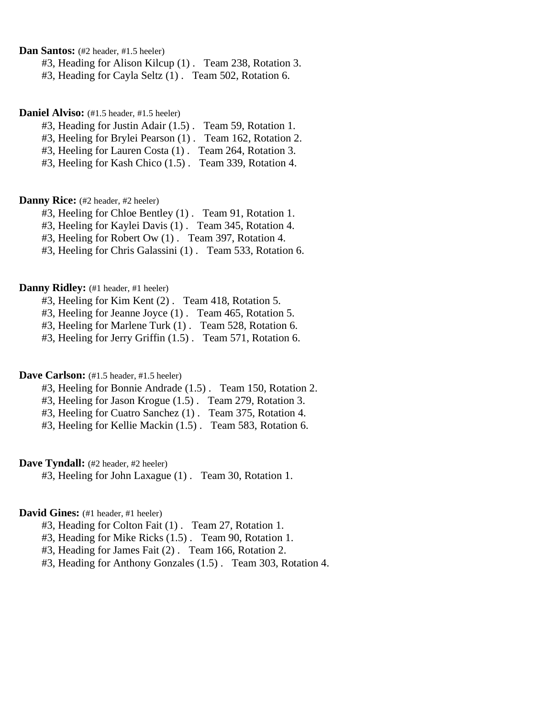**Dan Santos:** (#2 header, #1.5 heeler)

#3, Heading for Alison Kilcup (1) . Team 238, Rotation 3.

#3, Heading for Cayla Seltz (1) . Team 502, Rotation 6.

**Daniel Alviso:** (#1.5 header, #1.5 heeler)

#3, Heading for Justin Adair (1.5) . Team 59, Rotation 1.

#3, Heeling for Brylei Pearson (1) . Team 162, Rotation 2.

#3, Heeling for Lauren Costa (1) . Team 264, Rotation 3.

#3, Heeling for Kash Chico (1.5) . Team 339, Rotation 4.

### **Danny Rice:** (#2 header, #2 heeler)

#3, Heeling for Chloe Bentley (1) . Team 91, Rotation 1.

#3, Heeling for Kaylei Davis (1) . Team 345, Rotation 4.

#3, Heeling for Robert Ow (1) . Team 397, Rotation 4.

#3, Heeling for Chris Galassini (1) . Team 533, Rotation 6.

#### **Danny Ridley:** (#1 header, #1 heeler)

#3, Heeling for Kim Kent (2) . Team 418, Rotation 5.

#3, Heeling for Jeanne Joyce (1) . Team 465, Rotation 5.

#3, Heeling for Marlene Turk (1) . Team 528, Rotation 6.

#3, Heeling for Jerry Griffin (1.5) . Team 571, Rotation 6.

### Dave Carlson: (#1.5 header, #1.5 heeler)

#3, Heeling for Bonnie Andrade (1.5) . Team 150, Rotation 2.

#3, Heeling for Jason Krogue (1.5) . Team 279, Rotation 3.

#3, Heeling for Cuatro Sanchez (1) . Team 375, Rotation 4.

#3, Heeling for Kellie Mackin (1.5) . Team 583, Rotation 6.

# Dave Tyndall: (#2 header, #2 heeler)

#3, Heeling for John Laxague (1) . Team 30, Rotation 1.

# David Gines: (#1 header, #1 heeler)

#3, Heading for Colton Fait (1) . Team 27, Rotation 1.

#3, Heading for Mike Ricks (1.5) . Team 90, Rotation 1.

#3, Heading for James Fait (2) . Team 166, Rotation 2.

#3, Heading for Anthony Gonzales (1.5) . Team 303, Rotation 4.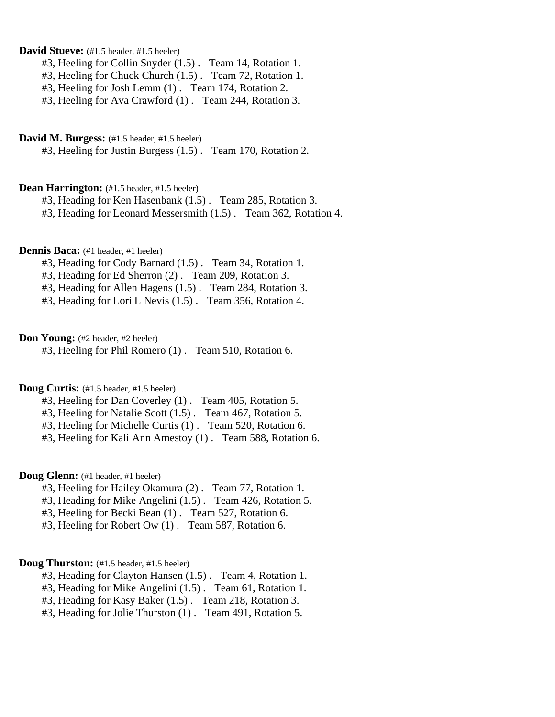# **David Stueve:** (#1.5 header, #1.5 heeler)

- #3, Heeling for Collin Snyder (1.5) . Team 14, Rotation 1.
- #3, Heeling for Chuck Church (1.5) . Team 72, Rotation 1.
- #3, Heeling for Josh Lemm (1) . Team 174, Rotation 2.
- #3, Heeling for Ava Crawford (1) . Team 244, Rotation 3.

#### **David M. Burgess:** (#1.5 header, #1.5 heeler)

#3, Heeling for Justin Burgess (1.5) . Team 170, Rotation 2.

#### **Dean Harrington:** (#1.5 header, #1.5 heeler)

#3, Heading for Ken Hasenbank (1.5) . Team 285, Rotation 3.

#3, Heading for Leonard Messersmith (1.5) . Team 362, Rotation 4.

#### **Dennis Baca:** (#1 header, #1 heeler)

- #3, Heading for Cody Barnard (1.5) . Team 34, Rotation 1.
- #3, Heading for Ed Sherron (2) . Team 209, Rotation 3.
- #3, Heading for Allen Hagens (1.5) . Team 284, Rotation 3.
- #3, Heading for Lori L Nevis (1.5) . Team 356, Rotation 4.

### **Don Young:** (#2 header, #2 heeler)

#3, Heeling for Phil Romero (1) . Team 510, Rotation 6.

# **Doug Curtis:** (#1.5 header, #1.5 heeler)

- #3, Heeling for Dan Coverley (1) . Team 405, Rotation 5.
- #3, Heeling for Natalie Scott (1.5) . Team 467, Rotation 5.
- #3, Heeling for Michelle Curtis (1) . Team 520, Rotation 6.
- #3, Heeling for Kali Ann Amestoy (1) . Team 588, Rotation 6.

#### **Doug Glenn:** (#1 header, #1 heeler)

- #3, Heeling for Hailey Okamura (2) . Team 77, Rotation 1.
- #3, Heading for Mike Angelini (1.5) . Team 426, Rotation 5.
- #3, Heeling for Becki Bean (1) . Team 527, Rotation 6.
- #3, Heeling for Robert Ow (1) . Team 587, Rotation 6.

### **Doug Thurston:** (#1.5 header, #1.5 heeler)

- #3, Heading for Clayton Hansen (1.5) . Team 4, Rotation 1.
- #3, Heading for Mike Angelini (1.5) . Team 61, Rotation 1.
- #3, Heading for Kasy Baker (1.5) . Team 218, Rotation 3.
- #3, Heading for Jolie Thurston (1) . Team 491, Rotation 5.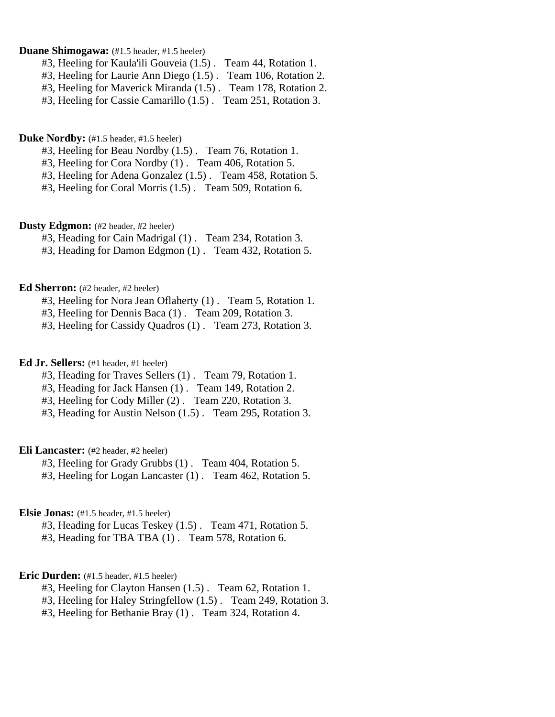### **Duane Shimogawa:** (#1.5 header, #1.5 heeler)

- #3, Heeling for Kaula'ili Gouveia (1.5) . Team 44, Rotation 1.
- #3, Heeling for Laurie Ann Diego (1.5) . Team 106, Rotation 2.
- #3, Heeling for Maverick Miranda (1.5) . Team 178, Rotation 2.
- #3, Heeling for Cassie Camarillo (1.5) . Team 251, Rotation 3.

# **Duke Nordby:** (#1.5 header, #1.5 heeler)

- #3, Heeling for Beau Nordby (1.5) . Team 76, Rotation 1.
- #3, Heeling for Cora Nordby (1) . Team 406, Rotation 5.
- #3, Heeling for Adena Gonzalez (1.5) . Team 458, Rotation 5.
- #3, Heeling for Coral Morris (1.5) . Team 509, Rotation 6.

### **Dusty Edgmon:** (#2 header, #2 heeler)

- #3, Heading for Cain Madrigal (1) . Team 234, Rotation 3.
- #3, Heading for Damon Edgmon (1) . Team 432, Rotation 5.

#### **Ed Sherron:** (#2 header, #2 heeler)

- #3, Heeling for Nora Jean Oflaherty (1) . Team 5, Rotation 1.
- #3, Heeling for Dennis Baca (1) . Team 209, Rotation 3.
- #3, Heeling for Cassidy Quadros (1) . Team 273, Rotation 3.

# **Ed Jr. Sellers:** (#1 header, #1 heeler)

- #3, Heading for Traves Sellers (1) . Team 79, Rotation 1.
- #3, Heading for Jack Hansen (1) . Team 149, Rotation 2.
- #3, Heeling for Cody Miller (2) . Team 220, Rotation 3.
- #3, Heading for Austin Nelson (1.5) . Team 295, Rotation 3.

#### **Eli Lancaster:** (#2 header, #2 heeler)

- #3, Heeling for Grady Grubbs (1) . Team 404, Rotation 5.
- #3, Heeling for Logan Lancaster (1) . Team 462, Rotation 5.

### **Elsie Jonas:** (#1.5 header, #1.5 heeler)

- #3, Heading for Lucas Teskey (1.5) . Team 471, Rotation 5.
- #3, Heading for TBA TBA (1) . Team 578, Rotation 6.

#### **Eric Durden:** (#1.5 header, #1.5 heeler)

- #3, Heeling for Clayton Hansen (1.5) . Team 62, Rotation 1.
- #3, Heeling for Haley Stringfellow (1.5) . Team 249, Rotation 3.
- #3, Heeling for Bethanie Bray (1) . Team 324, Rotation 4.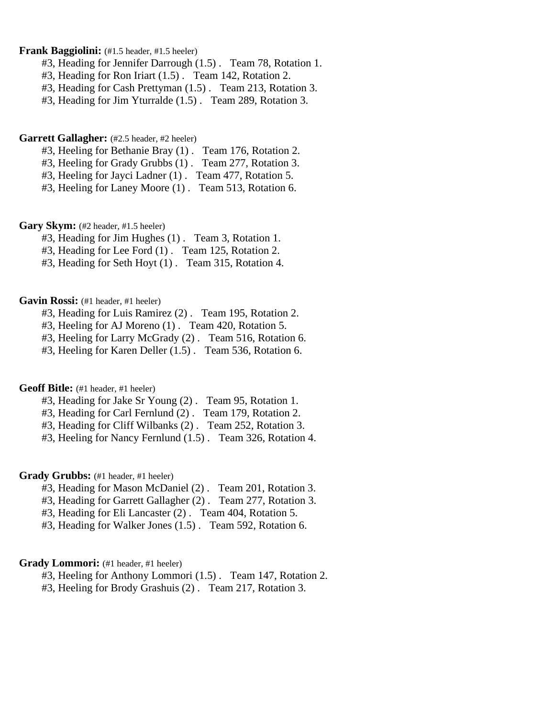### **Frank Baggiolini:** (#1.5 header, #1.5 heeler)

- #3, Heading for Jennifer Darrough (1.5) . Team 78, Rotation 1.
- #3, Heading for Ron Iriart (1.5) . Team 142, Rotation 2.
- #3, Heading for Cash Prettyman (1.5) . Team 213, Rotation 3.
- #3, Heading for Jim Yturralde (1.5) . Team 289, Rotation 3.

# Garrett Gallagher: (#2.5 header, #2 heeler)

- #3, Heeling for Bethanie Bray (1) . Team 176, Rotation 2.
- #3, Heeling for Grady Grubbs (1) . Team 277, Rotation 3.
- #3, Heeling for Jayci Ladner (1) . Team 477, Rotation 5.
- #3, Heeling for Laney Moore (1) . Team 513, Rotation 6.

# Gary Skym: (#2 header, #1.5 heeler)

- #3, Heading for Jim Hughes (1) . Team 3, Rotation 1.
- #3, Heading for Lee Ford (1) . Team 125, Rotation 2.
- #3, Heading for Seth Hoyt (1) . Team 315, Rotation 4.

# Gavin Rossi: (#1 header, #1 heeler)

- #3, Heading for Luis Ramirez (2) . Team 195, Rotation 2.
- #3, Heeling for AJ Moreno (1) . Team 420, Rotation 5.
- #3, Heeling for Larry McGrady (2) . Team 516, Rotation 6.
- #3, Heeling for Karen Deller (1.5) . Team 536, Rotation 6.

### Geoff Bitle: (#1 header, #1 heeler)

- #3, Heading for Jake Sr Young (2) . Team 95, Rotation 1.
- #3, Heading for Carl Fernlund (2) . Team 179, Rotation 2.
- #3, Heading for Cliff Wilbanks (2) . Team 252, Rotation 3.
- #3, Heeling for Nancy Fernlund (1.5) . Team 326, Rotation 4.

### Grady Grubbs: (#1 header, #1 heeler)

- #3, Heading for Mason McDaniel (2) . Team 201, Rotation 3.
- #3, Heading for Garrett Gallagher (2) . Team 277, Rotation 3.
- #3, Heading for Eli Lancaster (2) . Team 404, Rotation 5.
- #3, Heading for Walker Jones (1.5) . Team 592, Rotation 6.

# Grady Lommori: (#1 header, #1 heeler)

- #3, Heeling for Anthony Lommori (1.5) . Team 147, Rotation 2.
- #3, Heeling for Brody Grashuis (2) . Team 217, Rotation 3.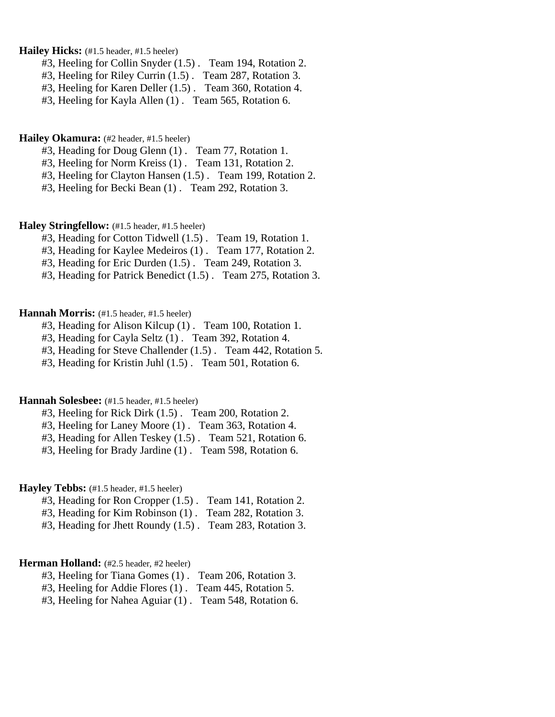Hailey Hicks: (#1.5 header, #1.5 heeler)

- #3, Heeling for Collin Snyder (1.5) . Team 194, Rotation 2.
- #3, Heeling for Riley Currin (1.5) . Team 287, Rotation 3.
- #3, Heeling for Karen Deller (1.5) . Team 360, Rotation 4.
- #3, Heeling for Kayla Allen (1) . Team 565, Rotation 6.

### **Hailey Okamura:** (#2 header, #1.5 heeler)

- #3, Heading for Doug Glenn (1) . Team 77, Rotation 1.
- #3, Heeling for Norm Kreiss (1) . Team 131, Rotation 2.
- #3, Heeling for Clayton Hansen (1.5) . Team 199, Rotation 2.
- #3, Heeling for Becki Bean (1) . Team 292, Rotation 3.

### **Haley Stringfellow:** (#1.5 header, #1.5 heeler)

- #3, Heading for Cotton Tidwell (1.5) . Team 19, Rotation 1.
- #3, Heading for Kaylee Medeiros (1) . Team 177, Rotation 2.
- #3, Heading for Eric Durden (1.5) . Team 249, Rotation 3.
- #3, Heading for Patrick Benedict (1.5) . Team 275, Rotation 3.

# Hannah Morris: (#1.5 header, #1.5 heeler)

- #3, Heading for Alison Kilcup (1) . Team 100, Rotation 1.
- #3, Heading for Cayla Seltz (1) . Team 392, Rotation 4.
- #3, Heading for Steve Challender (1.5) . Team 442, Rotation 5.
- #3, Heading for Kristin Juhl (1.5) . Team 501, Rotation 6.

### **Hannah Solesbee:** (#1.5 header, #1.5 heeler)

- #3, Heeling for Rick Dirk (1.5) . Team 200, Rotation 2.
- #3, Heeling for Laney Moore (1) . Team 363, Rotation 4.
- #3, Heading for Allen Teskey (1.5) . Team 521, Rotation 6.
- #3, Heeling for Brady Jardine (1) . Team 598, Rotation 6.

# Hayley Tebbs: (#1.5 header, #1.5 heeler)

- #3, Heading for Ron Cropper (1.5) . Team 141, Rotation 2.
- #3, Heading for Kim Robinson (1) . Team 282, Rotation 3.
- #3, Heading for Jhett Roundy (1.5) . Team 283, Rotation 3.

# Herman Holland: (#2.5 header, #2 heeler)

- #3, Heeling for Tiana Gomes (1) . Team 206, Rotation 3.
- #3, Heeling for Addie Flores (1) . Team 445, Rotation 5.
- #3, Heeling for Nahea Aguiar (1) . Team 548, Rotation 6.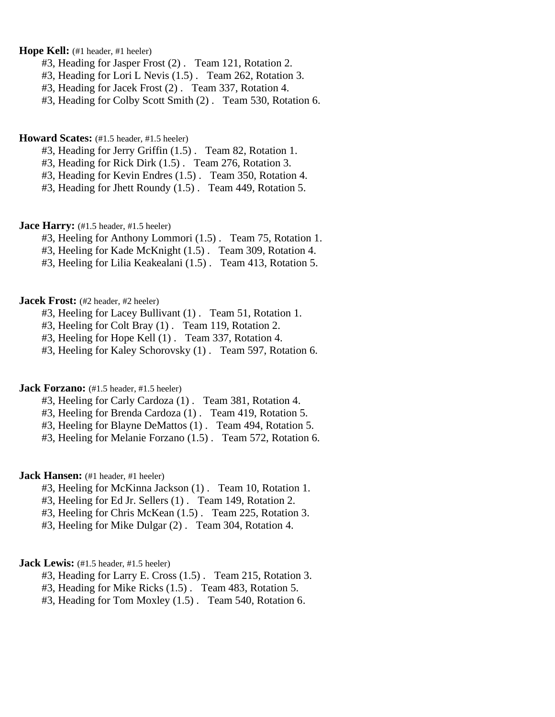**Hope Kell:** (#1 header, #1 heeler)

- #3, Heading for Jasper Frost (2) . Team 121, Rotation 2.
- #3, Heading for Lori L Nevis (1.5) . Team 262, Rotation 3.
- #3, Heading for Jacek Frost (2) . Team 337, Rotation 4.
- #3, Heading for Colby Scott Smith (2) . Team 530, Rotation 6.

### **Howard Scates:** (#1.5 header, #1.5 heeler)

- #3, Heading for Jerry Griffin (1.5) . Team 82, Rotation 1.
- #3, Heading for Rick Dirk (1.5) . Team 276, Rotation 3.
- #3, Heading for Kevin Endres (1.5) . Team 350, Rotation 4.
- #3, Heading for Jhett Roundy (1.5) . Team 449, Rotation 5.

**Jace Harry:** (#1.5 header, #1.5 heeler)

- #3, Heeling for Anthony Lommori (1.5) . Team 75, Rotation 1.
- #3, Heeling for Kade McKnight (1.5) . Team 309, Rotation 4.
- #3, Heeling for Lilia Keakealani (1.5) . Team 413, Rotation 5.

### **Jacek Frost:** (#2 header, #2 heeler)

- #3, Heeling for Lacey Bullivant (1) . Team 51, Rotation 1.
- #3, Heeling for Colt Bray (1) . Team 119, Rotation 2.
- #3, Heeling for Hope Kell (1) . Team 337, Rotation 4.
- #3, Heeling for Kaley Schorovsky (1) . Team 597, Rotation 6.

# **Jack Forzano:** (#1.5 header, #1.5 heeler)

- #3, Heeling for Carly Cardoza (1) . Team 381, Rotation 4.
- #3, Heeling for Brenda Cardoza (1) . Team 419, Rotation 5.
- #3, Heeling for Blayne DeMattos (1) . Team 494, Rotation 5.
- #3, Heeling for Melanie Forzano (1.5) . Team 572, Rotation 6.

### **Jack Hansen:** (#1 header, #1 heeler)

- #3, Heeling for McKinna Jackson (1) . Team 10, Rotation 1.
- #3, Heeling for Ed Jr. Sellers (1) . Team 149, Rotation 2.
- #3, Heeling for Chris McKean (1.5) . Team 225, Rotation 3.
- #3, Heeling for Mike Dulgar (2) . Team 304, Rotation 4.

# **Jack Lewis:** (#1.5 header, #1.5 heeler)

- #3, Heading for Larry E. Cross (1.5) . Team 215, Rotation 3.
- #3, Heading for Mike Ricks (1.5) . Team 483, Rotation 5.
- #3, Heading for Tom Moxley (1.5) . Team 540, Rotation 6.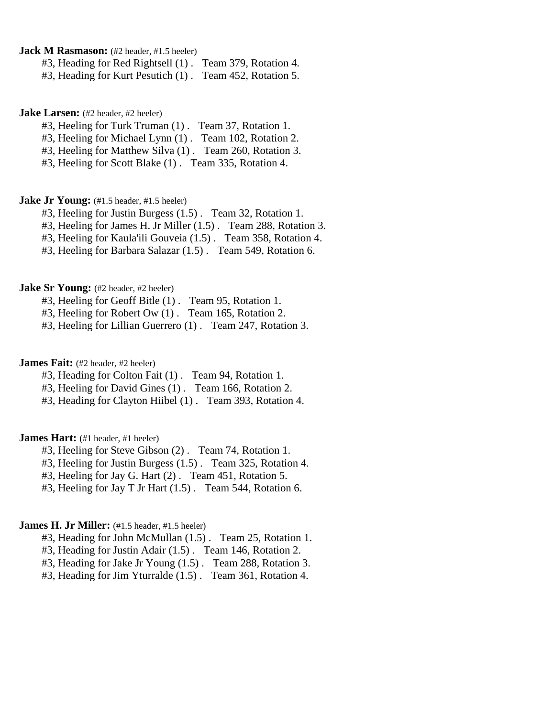**Jack M Rasmason:** (#2 header, #1.5 heeler)

#3, Heading for Red Rightsell (1) . Team 379, Rotation 4.

#3, Heading for Kurt Pesutich (1) . Team 452, Rotation 5.

**Jake Larsen:** (#2 header, #2 heeler)

#3, Heeling for Turk Truman (1) . Team 37, Rotation 1.

#3, Heeling for Michael Lynn (1) . Team 102, Rotation 2.

#3, Heeling for Matthew Silva (1) . Team 260, Rotation 3.

#3, Heeling for Scott Blake (1) . Team 335, Rotation 4.

**Jake Jr Young:** (#1.5 header, #1.5 heeler)

#3, Heeling for Justin Burgess (1.5) . Team 32, Rotation 1.

#3, Heeling for James H. Jr Miller (1.5) . Team 288, Rotation 3.

#3, Heeling for Kaula'ili Gouveia (1.5) . Team 358, Rotation 4.

#3, Heeling for Barbara Salazar (1.5) . Team 549, Rotation 6.

**Jake Sr Young:** (#2 header, #2 heeler)

#3, Heeling for Geoff Bitle (1) . Team 95, Rotation 1.

#3, Heeling for Robert Ow (1) . Team 165, Rotation 2.

#3, Heeling for Lillian Guerrero (1) . Team 247, Rotation 3.

**James Fait:** (#2 header, #2 heeler)

#3, Heading for Colton Fait (1) . Team 94, Rotation 1.

#3, Heeling for David Gines (1) . Team 166, Rotation 2.

#3, Heading for Clayton Hiibel (1) . Team 393, Rotation 4.

**James Hart:** (#1 header, #1 heeler)

#3, Heeling for Steve Gibson (2) . Team 74, Rotation 1.

#3, Heeling for Justin Burgess (1.5) . Team 325, Rotation 4.

#3, Heeling for Jay G. Hart (2) . Team 451, Rotation 5.

#3, Heeling for Jay T Jr Hart (1.5) . Team 544, Rotation 6.

# James H. Jr Miller: (#1.5 header, #1.5 heeler)

#3, Heading for John McMullan (1.5) . Team 25, Rotation 1.

#3, Heading for Justin Adair (1.5) . Team 146, Rotation 2.

#3, Heading for Jake Jr Young (1.5) . Team 288, Rotation 3.

#3, Heading for Jim Yturralde (1.5) . Team 361, Rotation 4.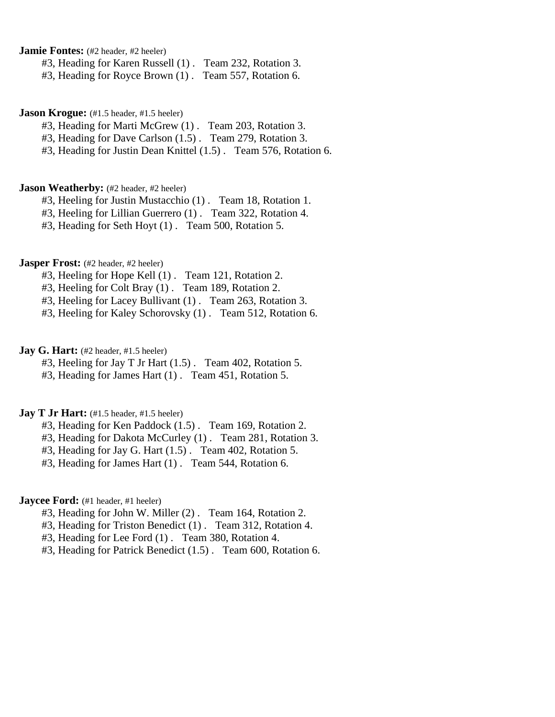**Jamie Fontes:** (#2 header, #2 heeler)

#3, Heading for Karen Russell (1) . Team 232, Rotation 3.

#3, Heading for Royce Brown (1) . Team 557, Rotation 6.

**Jason Krogue:** (#1.5 header, #1.5 heeler)

#3, Heading for Marti McGrew (1) . Team 203, Rotation 3.

#3, Heading for Dave Carlson (1.5) . Team 279, Rotation 3.

#3, Heading for Justin Dean Knittel (1.5) . Team 576, Rotation 6.

#### **Jason Weatherby:** (#2 header, #2 heeler)

#3, Heeling for Justin Mustacchio (1) . Team 18, Rotation 1.

#3, Heeling for Lillian Guerrero (1) . Team 322, Rotation 4.

#3, Heading for Seth Hoyt (1) . Team 500, Rotation 5.

# **Jasper Frost:** (#2 header, #2 heeler)

#3, Heeling for Hope Kell (1) . Team 121, Rotation 2.

#3, Heeling for Colt Bray (1) . Team 189, Rotation 2.

#3, Heeling for Lacey Bullivant (1) . Team 263, Rotation 3.

#3, Heeling for Kaley Schorovsky (1) . Team 512, Rotation 6.

**Jay G. Hart:** (#2 header, #1.5 heeler)

#3, Heeling for Jay T Jr Hart (1.5) . Team 402, Rotation 5.

#3, Heading for James Hart (1) . Team 451, Rotation 5.

# **Jay T Jr Hart:** (#1.5 header, #1.5 heeler)

#3, Heading for Ken Paddock (1.5) . Team 169, Rotation 2.

#3, Heading for Dakota McCurley (1) . Team 281, Rotation 3.

#3, Heading for Jay G. Hart (1.5) . Team 402, Rotation 5.

#3, Heading for James Hart (1) . Team 544, Rotation 6.

# **Jaycee Ford:** (#1 header, #1 heeler)

- #3, Heading for John W. Miller (2) . Team 164, Rotation 2.
- #3, Heading for Triston Benedict (1) . Team 312, Rotation 4.
- #3, Heading for Lee Ford (1) . Team 380, Rotation 4.
- #3, Heading for Patrick Benedict (1.5) . Team 600, Rotation 6.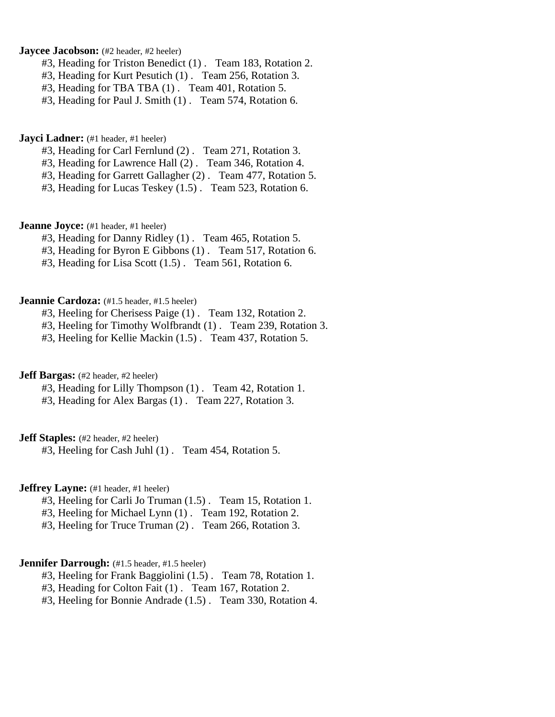# **Jaycee Jacobson:** (#2 header, #2 heeler)

- #3, Heading for Triston Benedict (1) . Team 183, Rotation 2.
- #3, Heading for Kurt Pesutich (1) . Team 256, Rotation 3.
- #3, Heading for TBA TBA (1) . Team 401, Rotation 5.
- #3, Heading for Paul J. Smith (1) . Team 574, Rotation 6.

#### **Jayci Ladner:** (#1 header, #1 heeler)

- #3, Heading for Carl Fernlund (2) . Team 271, Rotation 3.
- #3, Heading for Lawrence Hall (2) . Team 346, Rotation 4.
- #3, Heading for Garrett Gallagher (2) . Team 477, Rotation 5.
- #3, Heading for Lucas Teskey (1.5) . Team 523, Rotation 6.

# **Jeanne Joyce:** (#1 header, #1 heeler)

- #3, Heading for Danny Ridley (1) . Team 465, Rotation 5.
- #3, Heading for Byron E Gibbons (1) . Team 517, Rotation 6.
- #3, Heading for Lisa Scott (1.5) . Team 561, Rotation 6.

# **Jeannie Cardoza:** (#1.5 header, #1.5 heeler)

- #3, Heeling for Cherisess Paige (1) . Team 132, Rotation 2.
- #3, Heeling for Timothy Wolfbrandt (1) . Team 239, Rotation 3.
- #3, Heeling for Kellie Mackin (1.5) . Team 437, Rotation 5.

# **Jeff Bargas:** (#2 header, #2 heeler)

- #3, Heading for Lilly Thompson (1) . Team 42, Rotation 1.
- #3, Heading for Alex Bargas (1) . Team 227, Rotation 3.

**Jeff Staples:** (#2 header, #2 heeler)

#3, Heeling for Cash Juhl (1) . Team 454, Rotation 5.

# **Jeffrey Layne:** (#1 header, #1 heeler)

- #3, Heeling for Carli Jo Truman (1.5) . Team 15, Rotation 1.
- #3, Heeling for Michael Lynn (1) . Team 192, Rotation 2.
- #3, Heeling for Truce Truman (2) . Team 266, Rotation 3.

### **Jennifer Darrough:** (#1.5 header, #1.5 heeler)

- #3, Heeling for Frank Baggiolini (1.5) . Team 78, Rotation 1.
- #3, Heading for Colton Fait (1) . Team 167, Rotation 2.
- #3, Heeling for Bonnie Andrade (1.5) . Team 330, Rotation 4.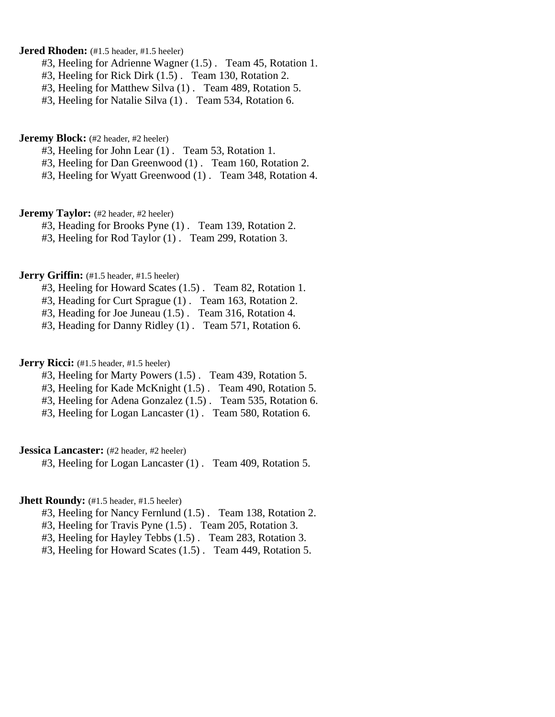# **Jered Rhoden:** (#1.5 header, #1.5 heeler)

- #3, Heeling for Adrienne Wagner (1.5) . Team 45, Rotation 1.
- #3, Heeling for Rick Dirk (1.5) . Team 130, Rotation 2.
- #3, Heeling for Matthew Silva (1) . Team 489, Rotation 5.
- #3, Heeling for Natalie Silva (1) . Team 534, Rotation 6.

### **Jeremy Block:** (#2 header, #2 heeler)

- #3, Heeling for John Lear (1) . Team 53, Rotation 1.
- #3, Heeling for Dan Greenwood (1) . Team 160, Rotation 2.
- #3, Heeling for Wyatt Greenwood (1) . Team 348, Rotation 4.

# **Jeremy Taylor:** (#2 header, #2 heeler)

- #3, Heading for Brooks Pyne (1) . Team 139, Rotation 2.
- #3, Heeling for Rod Taylor (1) . Team 299, Rotation 3.

### **Jerry Griffin:** (#1.5 header, #1.5 heeler)

- #3, Heeling for Howard Scates (1.5) . Team 82, Rotation 1.
- #3, Heading for Curt Sprague (1) . Team 163, Rotation 2.
- #3, Heading for Joe Juneau (1.5) . Team 316, Rotation 4.
- #3, Heading for Danny Ridley (1) . Team 571, Rotation 6.

# **Jerry Ricci:** (#1.5 header, #1.5 heeler)

- #3, Heeling for Marty Powers (1.5) . Team 439, Rotation 5.
- #3, Heeling for Kade McKnight (1.5) . Team 490, Rotation 5.
- #3, Heeling for Adena Gonzalez (1.5) . Team 535, Rotation 6.
- #3, Heeling for Logan Lancaster (1) . Team 580, Rotation 6.

#### **Jessica Lancaster:** (#2 header, #2 heeler)

#3, Heeling for Logan Lancaster (1) . Team 409, Rotation 5.

#### **Jhett Roundy:** (#1.5 header, #1.5 heeler)

- #3, Heeling for Nancy Fernlund (1.5) . Team 138, Rotation 2.
- #3, Heeling for Travis Pyne (1.5) . Team 205, Rotation 3.
- #3, Heeling for Hayley Tebbs (1.5) . Team 283, Rotation 3.
- #3, Heeling for Howard Scates (1.5) . Team 449, Rotation 5.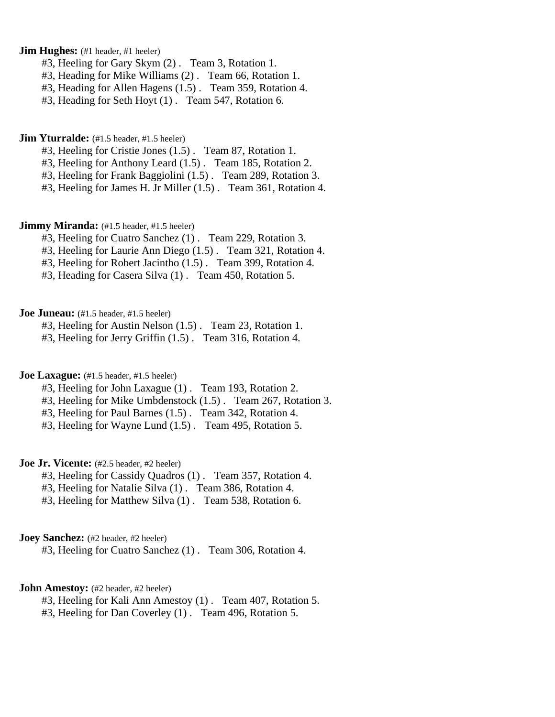# **Jim Hughes:** (#1 header, #1 heeler)

- #3, Heeling for Gary Skym (2) . Team 3, Rotation 1.
- #3, Heading for Mike Williams (2) . Team 66, Rotation 1.
- #3, Heading for Allen Hagens (1.5) . Team 359, Rotation 4.
- #3, Heading for Seth Hoyt (1) . Team 547, Rotation 6.

#### **Jim Yturralde:** (#1.5 header, #1.5 heeler)

- #3, Heeling for Cristie Jones (1.5) . Team 87, Rotation 1.
- #3, Heeling for Anthony Leard (1.5) . Team 185, Rotation 2.
- #3, Heeling for Frank Baggiolini (1.5) . Team 289, Rotation 3.
- #3, Heeling for James H. Jr Miller (1.5) . Team 361, Rotation 4.

# **Jimmy Miranda:** (#1.5 header, #1.5 heeler)

- #3, Heeling for Cuatro Sanchez (1) . Team 229, Rotation 3.
- #3, Heeling for Laurie Ann Diego (1.5) . Team 321, Rotation 4.
- #3, Heeling for Robert Jacintho (1.5) . Team 399, Rotation 4.
- #3, Heading for Casera Silva (1) . Team 450, Rotation 5.

# **Joe Juneau:** (#1.5 header, #1.5 heeler)

- #3, Heeling for Austin Nelson (1.5) . Team 23, Rotation 1.
- #3, Heeling for Jerry Griffin (1.5) . Team 316, Rotation 4.

### **Joe Laxague:** (#1.5 header, #1.5 heeler)

- #3, Heeling for John Laxague (1) . Team 193, Rotation 2.
- #3, Heeling for Mike Umbdenstock (1.5) . Team 267, Rotation 3.
- #3, Heeling for Paul Barnes (1.5) . Team 342, Rotation 4.
- #3, Heeling for Wayne Lund (1.5) . Team 495, Rotation 5.

# **Joe Jr. Vicente:** (#2.5 header, #2 heeler)

- #3, Heeling for Cassidy Quadros (1) . Team 357, Rotation 4.
- #3, Heeling for Natalie Silva (1) . Team 386, Rotation 4.
- #3, Heeling for Matthew Silva (1) . Team 538, Rotation 6.

# **Joey Sanchez:** (#2 header, #2 heeler)

#3, Heeling for Cuatro Sanchez (1) . Team 306, Rotation 4.

### **John Amestoy:** (#2 header, #2 heeler)

- #3, Heeling for Kali Ann Amestoy (1) . Team 407, Rotation 5.
- #3, Heeling for Dan Coverley (1) . Team 496, Rotation 5.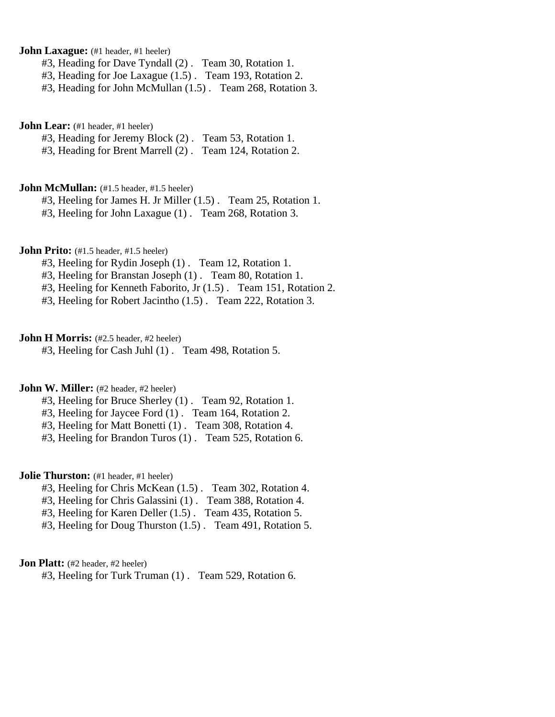**John Laxague:** (#1 header, #1 heeler)

#3, Heading for Dave Tyndall (2) . Team 30, Rotation 1.

#3, Heading for Joe Laxague (1.5) . Team 193, Rotation 2.

#3, Heading for John McMullan (1.5) . Team 268, Rotation 3.

**John Lear:** (#1 header, #1 heeler)

#3, Heading for Jeremy Block (2) . Team 53, Rotation 1.

#3, Heading for Brent Marrell (2) . Team 124, Rotation 2.

**John McMullan:** (#1.5 header, #1.5 heeler)

#3, Heeling for James H. Jr Miller (1.5) . Team 25, Rotation 1.

#3, Heeling for John Laxague (1) . Team 268, Rotation 3.

**John Prito:** (#1.5 header, #1.5 heeler)

#3, Heeling for Rydin Joseph (1) . Team 12, Rotation 1.

#3, Heeling for Branstan Joseph (1) . Team 80, Rotation 1.

#3, Heeling for Kenneth Faborito, Jr (1.5) . Team 151, Rotation 2.

#3, Heeling for Robert Jacintho (1.5) . Team 222, Rotation 3.

### **John H Morris:** (#2.5 header, #2 heeler)

#3, Heeling for Cash Juhl (1) . Team 498, Rotation 5.

# **John W. Miller:** (#2 header, #2 heeler)

- #3, Heeling for Bruce Sherley (1) . Team 92, Rotation 1.
- #3, Heeling for Jaycee Ford (1) . Team 164, Rotation 2.
- #3, Heeling for Matt Bonetti (1) . Team 308, Rotation 4.
- #3, Heeling for Brandon Turos (1) . Team 525, Rotation 6.

### **Jolie Thurston:** (#1 header, #1 heeler)

- #3, Heeling for Chris McKean (1.5) . Team 302, Rotation 4.
- #3, Heeling for Chris Galassini (1) . Team 388, Rotation 4.
- #3, Heeling for Karen Deller (1.5) . Team 435, Rotation 5.
- #3, Heeling for Doug Thurston (1.5) . Team 491, Rotation 5.

# **Jon Platt:** (#2 header, #2 heeler)

#3, Heeling for Turk Truman (1) . Team 529, Rotation 6.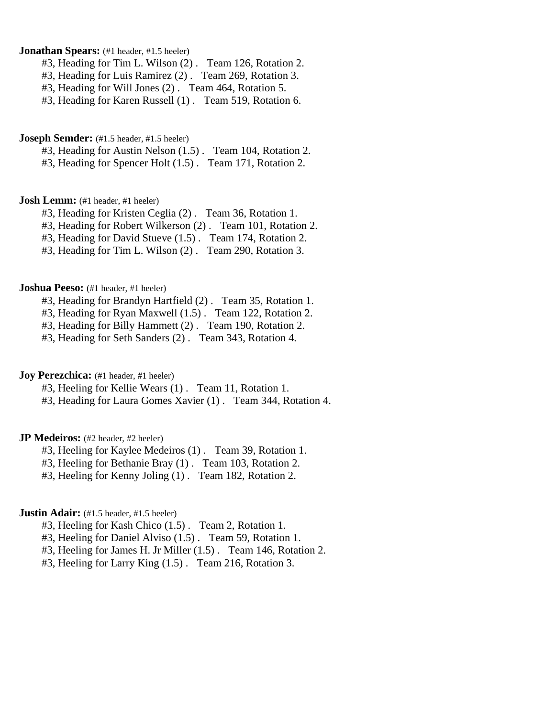# **Jonathan Spears:** (#1 header, #1.5 heeler)

- #3, Heading for Tim L. Wilson (2) . Team 126, Rotation 2.
- #3, Heading for Luis Ramirez (2) . Team 269, Rotation 3.
- #3, Heading for Will Jones (2) . Team 464, Rotation 5.
- #3, Heading for Karen Russell (1) . Team 519, Rotation 6.

# **Joseph Semder:** (#1.5 header, #1.5 heeler)

#3, Heading for Austin Nelson (1.5) . Team 104, Rotation 2.

#3, Heading for Spencer Holt (1.5) . Team 171, Rotation 2.

#### **Josh Lemm:** (#1 header, #1 heeler)

- #3, Heading for Kristen Ceglia (2) . Team 36, Rotation 1.
- #3, Heading for Robert Wilkerson (2) . Team 101, Rotation 2.
- #3, Heading for David Stueve (1.5) . Team 174, Rotation 2.
- #3, Heading for Tim L. Wilson (2) . Team 290, Rotation 3.

### **Joshua Peeso:** (#1 header, #1 heeler)

- #3, Heading for Brandyn Hartfield (2) . Team 35, Rotation 1.
- #3, Heading for Ryan Maxwell (1.5) . Team 122, Rotation 2.
- #3, Heading for Billy Hammett (2) . Team 190, Rotation 2.
- #3, Heading for Seth Sanders (2) . Team 343, Rotation 4.

# **Joy Perezchica:** (#1 header, #1 heeler)

- #3, Heeling for Kellie Wears (1) . Team 11, Rotation 1.
- #3, Heading for Laura Gomes Xavier (1) . Team 344, Rotation 4.

### **JP Medeiros:** (#2 header, #2 heeler)

- #3, Heeling for Kaylee Medeiros (1) . Team 39, Rotation 1.
- #3, Heeling for Bethanie Bray (1) . Team 103, Rotation 2.
- #3, Heeling for Kenny Joling (1) . Team 182, Rotation 2.

# **Justin Adair:** (#1.5 header, #1.5 heeler)

- #3, Heeling for Kash Chico (1.5) . Team 2, Rotation 1.
- #3, Heeling for Daniel Alviso (1.5) . Team 59, Rotation 1.
- #3, Heeling for James H. Jr Miller (1.5) . Team 146, Rotation 2.
- #3, Heeling for Larry King (1.5) . Team 216, Rotation 3.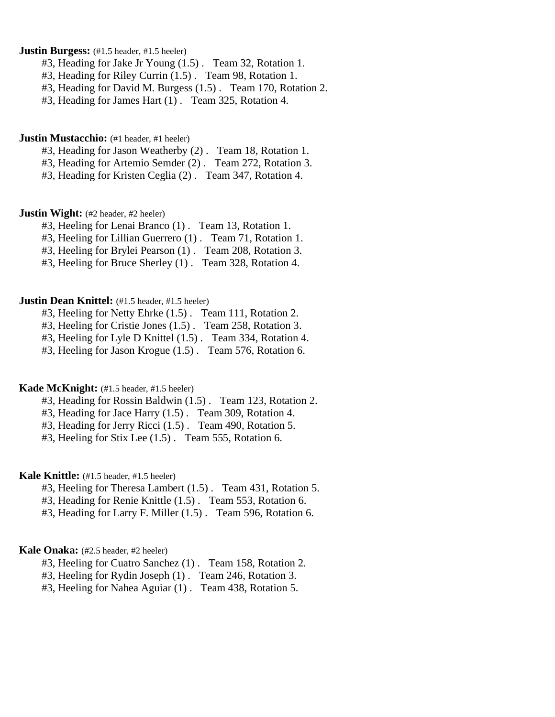# **Justin Burgess:**  $(#1.5 \text{ header}, #1.5 \text{ header})$

- #3, Heading for Jake Jr Young (1.5) . Team 32, Rotation 1.
- #3, Heading for Riley Currin (1.5) . Team 98, Rotation 1.
- #3, Heading for David M. Burgess (1.5) . Team 170, Rotation 2.
- #3, Heading for James Hart (1) . Team 325, Rotation 4.

#### **Justin Mustacchio:** (#1 header, #1 heeler)

- #3, Heading for Jason Weatherby (2) . Team 18, Rotation 1.
- #3, Heading for Artemio Semder (2) . Team 272, Rotation 3.
- #3, Heading for Kristen Ceglia (2) . Team 347, Rotation 4.

### **Justin Wight:** (#2 header, #2 heeler)

- #3, Heeling for Lenai Branco (1) . Team 13, Rotation 1.
- #3, Heeling for Lillian Guerrero (1) . Team 71, Rotation 1.
- #3, Heeling for Brylei Pearson (1) . Team 208, Rotation 3.
- #3, Heeling for Bruce Sherley (1) . Team 328, Rotation 4.

# **Justin Dean Knittel:** (#1.5 header, #1.5 heeler)

- #3, Heeling for Netty Ehrke (1.5) . Team 111, Rotation 2.
- #3, Heeling for Cristie Jones (1.5) . Team 258, Rotation 3.
- #3, Heeling for Lyle D Knittel (1.5) . Team 334, Rotation 4.
- #3, Heeling for Jason Krogue (1.5) . Team 576, Rotation 6.

# **Kade McKnight:** (#1.5 header, #1.5 heeler)

- #3, Heading for Rossin Baldwin (1.5) . Team 123, Rotation 2.
- #3, Heading for Jace Harry (1.5) . Team 309, Rotation 4.
- #3, Heading for Jerry Ricci  $(1.5)$ . Team 490, Rotation 5.
- #3, Heeling for Stix Lee (1.5) . Team 555, Rotation 6.

### **Kale Knittle:** (#1.5 header, #1.5 heeler)

- #3, Heeling for Theresa Lambert (1.5) . Team 431, Rotation 5.
- #3, Heading for Renie Knittle (1.5) . Team 553, Rotation 6.
- #3, Heading for Larry F. Miller (1.5) . Team 596, Rotation 6.

#### **Kale Onaka:** (#2.5 header, #2 heeler)

- #3, Heeling for Cuatro Sanchez (1) . Team 158, Rotation 2.
- #3, Heeling for Rydin Joseph (1) . Team 246, Rotation 3.
- #3, Heeling for Nahea Aguiar (1) . Team 438, Rotation 5.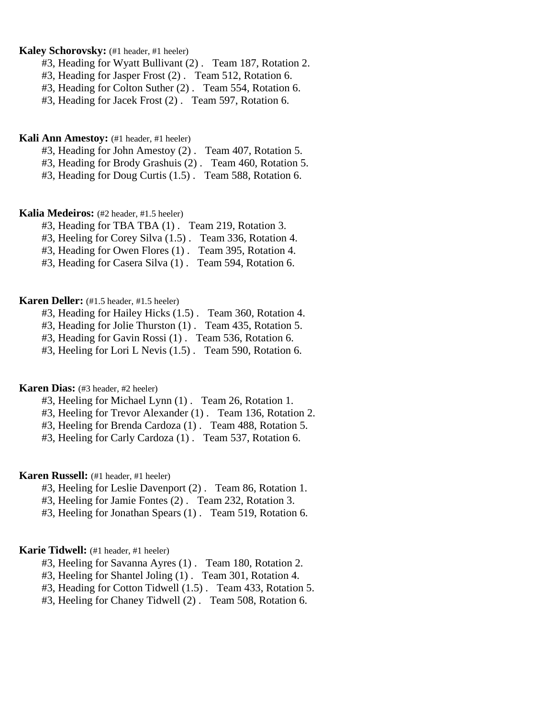# **Kaley Schorovsky:** (#1 header, #1 heeler)

- #3, Heading for Wyatt Bullivant (2) . Team 187, Rotation 2.
- #3, Heading for Jasper Frost (2) . Team 512, Rotation 6.
- #3, Heading for Colton Suther (2) . Team 554, Rotation 6.
- #3, Heading for Jacek Frost (2) . Team 597, Rotation 6.

### **Kali Ann Amestoy:** (#1 header, #1 heeler)

- #3, Heading for John Amestoy (2) . Team 407, Rotation 5.
- #3, Heading for Brody Grashuis (2) . Team 460, Rotation 5.
- #3, Heading for Doug Curtis (1.5) . Team 588, Rotation 6.

# **Kalia Medeiros:** (#2 header, #1.5 heeler)

- #3, Heading for TBA TBA (1) . Team 219, Rotation 3.
- #3, Heeling for Corey Silva (1.5) . Team 336, Rotation 4.
- #3, Heading for Owen Flores (1) . Team 395, Rotation 4.
- #3, Heading for Casera Silva  $(1)$ . Team 594, Rotation 6.

### **Karen Deller:** (#1.5 header, #1.5 heeler)

- #3, Heading for Hailey Hicks (1.5) . Team 360, Rotation 4.
- #3, Heading for Jolie Thurston (1) . Team 435, Rotation 5.
- #3, Heading for Gavin Rossi (1) . Team 536, Rotation 6.
- #3, Heeling for Lori L Nevis (1.5) . Team 590, Rotation 6.

# **Karen Dias:** (#3 header, #2 heeler)

- #3, Heeling for Michael Lynn (1) . Team 26, Rotation 1.
- #3, Heeling for Trevor Alexander (1) . Team 136, Rotation 2.
- #3, Heeling for Brenda Cardoza (1) . Team 488, Rotation 5.
- #3, Heeling for Carly Cardoza (1) . Team 537, Rotation 6.

# **Karen Russell:** (#1 header, #1 heeler)

- #3, Heeling for Leslie Davenport (2) . Team 86, Rotation 1.
- #3, Heeling for Jamie Fontes (2) . Team 232, Rotation 3.
- #3, Heeling for Jonathan Spears (1) . Team 519, Rotation 6.

#### **Karie Tidwell:** (#1 header, #1 heeler)

- #3, Heeling for Savanna Ayres (1) . Team 180, Rotation 2.
- #3, Heeling for Shantel Joling (1) . Team 301, Rotation 4.
- #3, Heading for Cotton Tidwell (1.5) . Team 433, Rotation 5.
- #3, Heeling for Chaney Tidwell (2) . Team 508, Rotation 6.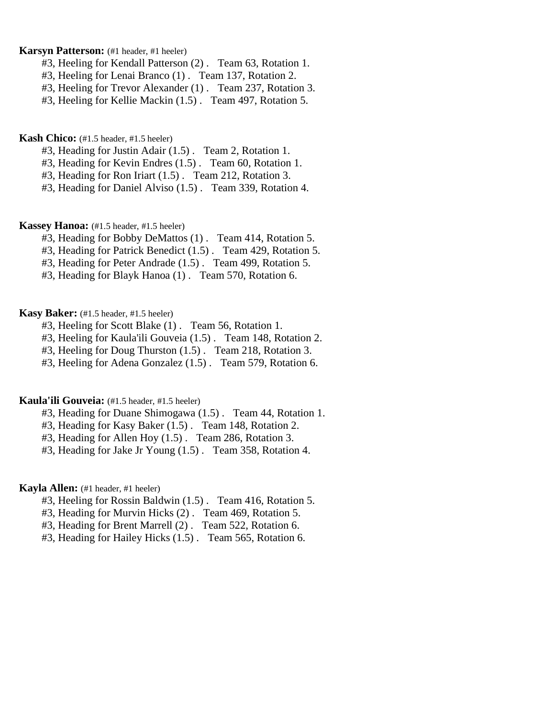# **Karsyn Patterson:** (#1 header, #1 heeler)

- #3, Heeling for Kendall Patterson (2) . Team 63, Rotation 1.
- #3, Heeling for Lenai Branco (1) . Team 137, Rotation 2.
- #3, Heeling for Trevor Alexander (1) . Team 237, Rotation 3.
- #3, Heeling for Kellie Mackin (1.5) . Team 497, Rotation 5.

#### **Kash Chico:** (#1.5 header, #1.5 heeler)

- #3, Heading for Justin Adair (1.5) . Team 2, Rotation 1.
- #3, Heading for Kevin Endres (1.5) . Team 60, Rotation 1.
- #3, Heading for Ron Iriart (1.5) . Team 212, Rotation 3.
- #3, Heading for Daniel Alviso (1.5) . Team 339, Rotation 4.

### **Kassey Hanoa:** (#1.5 header, #1.5 heeler)

- #3, Heading for Bobby DeMattos (1) . Team 414, Rotation 5.
- #3, Heading for Patrick Benedict (1.5) . Team 429, Rotation 5.
- #3, Heading for Peter Andrade (1.5) . Team 499, Rotation 5.
- #3, Heading for Blayk Hanoa (1) . Team 570, Rotation 6.

# **Kasy Baker:** (#1.5 header, #1.5 heeler)

- #3, Heeling for Scott Blake (1) . Team 56, Rotation 1.
- #3, Heeling for Kaula'ili Gouveia (1.5) . Team 148, Rotation 2.
- #3, Heeling for Doug Thurston (1.5) . Team 218, Rotation 3.
- #3, Heeling for Adena Gonzalez (1.5) . Team 579, Rotation 6.

#### **Kaula'ili Gouveia:** (#1.5 header, #1.5 heeler)

- #3, Heading for Duane Shimogawa (1.5) . Team 44, Rotation 1.
- #3, Heading for Kasy Baker (1.5) . Team 148, Rotation 2.
- #3, Heading for Allen Hoy (1.5) . Team 286, Rotation 3.
- #3, Heading for Jake Jr Young (1.5) . Team 358, Rotation 4.

# **Kayla Allen:** (#1 header, #1 heeler)

- #3, Heeling for Rossin Baldwin (1.5) . Team 416, Rotation 5.
- #3, Heading for Murvin Hicks (2) . Team 469, Rotation 5.
- #3, Heading for Brent Marrell (2) . Team 522, Rotation 6.
- #3, Heading for Hailey Hicks (1.5) . Team 565, Rotation 6.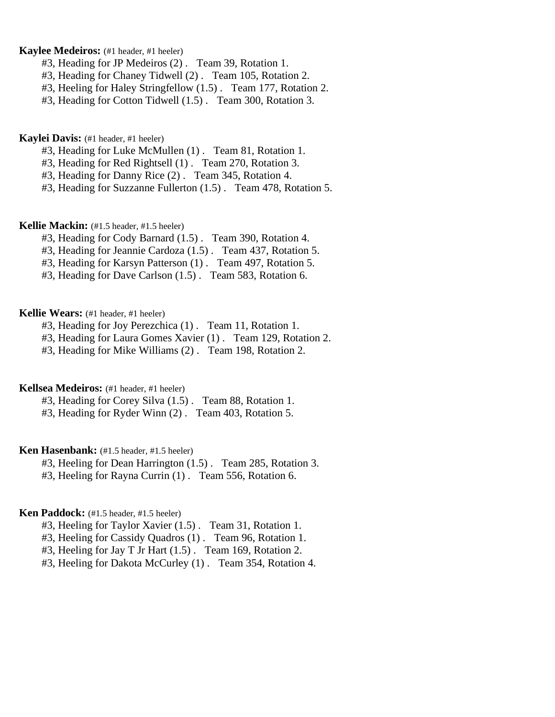# **Kaylee Medeiros:** (#1 header, #1 heeler)

- #3, Heading for JP Medeiros (2) . Team 39, Rotation 1.
- #3, Heading for Chaney Tidwell (2) . Team 105, Rotation 2.
- #3, Heeling for Haley Stringfellow (1.5) . Team 177, Rotation 2.
- #3, Heading for Cotton Tidwell (1.5) . Team 300, Rotation 3.

### **Kaylei Davis:** (#1 header, #1 heeler)

- #3, Heading for Luke McMullen (1) . Team 81, Rotation 1.
- #3, Heading for Red Rightsell (1) . Team 270, Rotation 3.
- #3, Heading for Danny Rice (2) . Team 345, Rotation 4.
- #3, Heading for Suzzanne Fullerton (1.5) . Team 478, Rotation 5.

### **Kellie Mackin:** (#1.5 header, #1.5 heeler)

- #3, Heading for Cody Barnard (1.5) . Team 390, Rotation 4.
- #3, Heading for Jeannie Cardoza (1.5) . Team 437, Rotation 5.
- #3, Heading for Karsyn Patterson (1) . Team 497, Rotation 5.
- #3, Heading for Dave Carlson (1.5) . Team 583, Rotation 6.

# **Kellie Wears:** (#1 header, #1 heeler)

- #3, Heading for Joy Perezchica (1) . Team 11, Rotation 1.
- #3, Heading for Laura Gomes Xavier (1) . Team 129, Rotation 2.
- #3, Heading for Mike Williams (2) . Team 198, Rotation 2.

# **Kellsea Medeiros:** (#1 header, #1 heeler)

- #3, Heading for Corey Silva (1.5) . Team 88, Rotation 1.
- #3, Heading for Ryder Winn (2) . Team 403, Rotation 5.

# **Ken Hasenbank:** (#1.5 header, #1.5 heeler)

- #3, Heeling for Dean Harrington (1.5) . Team 285, Rotation 3.
- #3, Heeling for Rayna Currin (1) . Team 556, Rotation 6.

### **Ken Paddock:** (#1.5 header, #1.5 heeler)

- #3, Heeling for Taylor Xavier (1.5) . Team 31, Rotation 1.
- #3, Heeling for Cassidy Quadros (1) . Team 96, Rotation 1.
- #3, Heeling for Jay T Jr Hart (1.5) . Team 169, Rotation 2.
- #3, Heeling for Dakota McCurley (1) . Team 354, Rotation 4.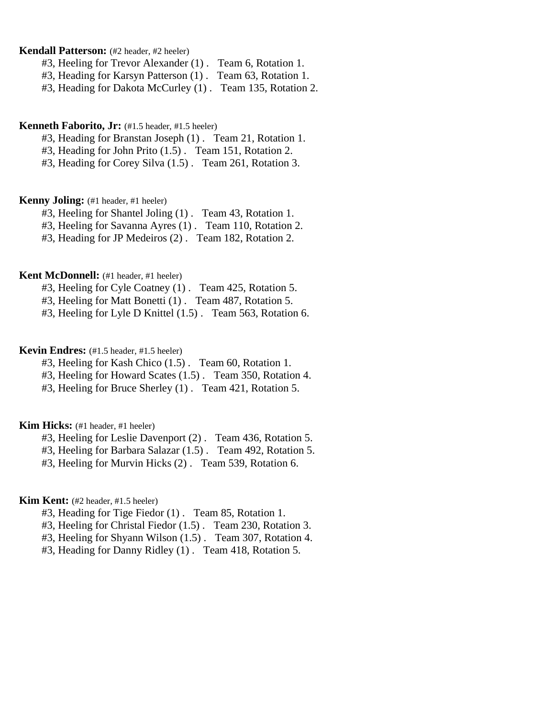# **Kendall Patterson:** (#2 header, #2 heeler)

- #3, Heeling for Trevor Alexander (1) . Team 6, Rotation 1.
- #3, Heading for Karsyn Patterson (1) . Team 63, Rotation 1.
- #3, Heading for Dakota McCurley (1) . Team 135, Rotation 2.

# **Kenneth Faborito, Jr:** (#1.5 header, #1.5 heeler)

- #3, Heading for Branstan Joseph (1) . Team 21, Rotation 1.
- #3, Heading for John Prito (1.5) . Team 151, Rotation 2.
- #3, Heading for Corey Silva (1.5) . Team 261, Rotation 3.

### **Kenny Joling:** (#1 header, #1 heeler)

- #3, Heeling for Shantel Joling (1) . Team 43, Rotation 1.
- #3, Heeling for Savanna Ayres (1) . Team 110, Rotation 2.
- #3, Heading for JP Medeiros (2) . Team 182, Rotation 2.

# **Kent McDonnell:** (#1 header, #1 heeler)

- #3, Heeling for Cyle Coatney (1) . Team 425, Rotation 5.
- #3, Heeling for Matt Bonetti (1) . Team 487, Rotation 5.
- #3, Heeling for Lyle D Knittel (1.5) . Team 563, Rotation 6.

# **Kevin Endres:** (#1.5 header, #1.5 heeler)

- #3, Heeling for Kash Chico (1.5) . Team 60, Rotation 1.
- #3, Heeling for Howard Scates (1.5) . Team 350, Rotation 4.
- #3, Heeling for Bruce Sherley (1) . Team 421, Rotation 5.

#### **Kim Hicks:** (#1 header, #1 heeler)

- #3, Heeling for Leslie Davenport (2) . Team 436, Rotation 5.
- #3, Heeling for Barbara Salazar (1.5) . Team 492, Rotation 5.
- #3, Heeling for Murvin Hicks (2) . Team 539, Rotation 6.

# **Kim Kent:** (#2 header, #1.5 heeler)

- #3, Heading for Tige Fiedor (1) . Team 85, Rotation 1.
- #3, Heeling for Christal Fiedor (1.5) . Team 230, Rotation 3.
- #3, Heeling for Shyann Wilson (1.5) . Team 307, Rotation 4.
- #3, Heading for Danny Ridley (1) . Team 418, Rotation 5.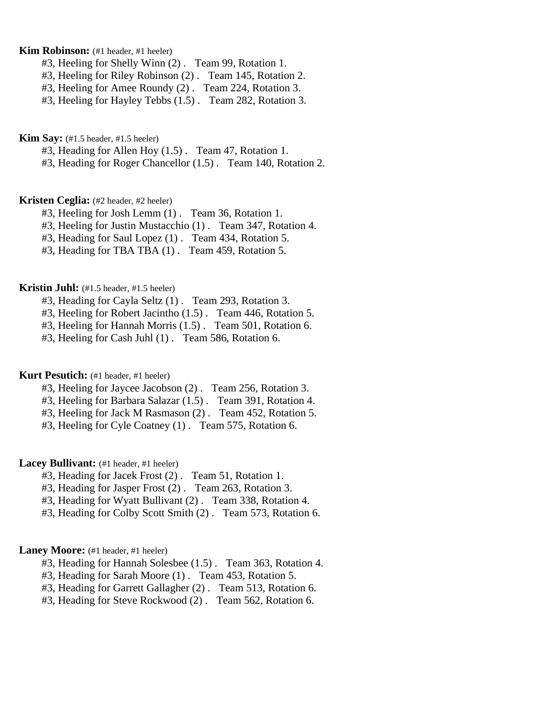# **Kim Robinson:** (#1 header, #1 heeler)

- #3, Heeling for Shelly Winn (2) . Team 99, Rotation 1.
- #3, Heeling for Riley Robinson (2) . Team 145, Rotation 2.
- #3, Heeling for Amee Roundy (2) . Team 224, Rotation 3.
- #3, Heeling for Hayley Tebbs (1.5) . Team 282, Rotation 3.

**Kim Say:** (#1.5 header, #1.5 heeler)

#3, Heading for Allen Hoy (1.5) . Team 47, Rotation 1.

#3, Heading for Roger Chancellor (1.5) . Team 140, Rotation 2.

# **Kristen Ceglia:** (#2 header, #2 heeler)

- #3, Heeling for Josh Lemm (1) . Team 36, Rotation 1.
- #3, Heeling for Justin Mustacchio (1) . Team 347, Rotation 4.
- #3, Heading for Saul Lopez (1) . Team 434, Rotation 5.
- #3, Heading for TBA TBA (1) . Team 459, Rotation 5.

### **Kristin Juhl:** (#1.5 header, #1.5 heeler)

- #3, Heading for Cayla Seltz (1) . Team 293, Rotation 3.
- #3, Heeling for Robert Jacintho (1.5) . Team 446, Rotation 5.
- #3, Heeling for Hannah Morris (1.5) . Team 501, Rotation 6.
- #3, Heeling for Cash Juhl (1) . Team 586, Rotation 6.

#### **Kurt Pesutich:** (#1 header, #1 heeler)

- #3, Heeling for Jaycee Jacobson (2) . Team 256, Rotation 3.
- #3, Heeling for Barbara Salazar (1.5) . Team 391, Rotation 4.
- #3, Heeling for Jack M Rasmason (2) . Team 452, Rotation 5.
- #3, Heeling for Cyle Coatney (1) . Team 575, Rotation 6.

# Lacey Bullivant: (#1 header, #1 heeler)

- #3, Heading for Jacek Frost (2) . Team 51, Rotation 1.
- #3, Heading for Jasper Frost (2) . Team 263, Rotation 3.
- #3, Heading for Wyatt Bullivant (2) . Team 338, Rotation 4.
- #3, Heading for Colby Scott Smith (2) . Team 573, Rotation 6.

#### Laney Moore: (#1 header, #1 heeler)

- #3, Heading for Hannah Solesbee (1.5) . Team 363, Rotation 4.
- #3, Heading for Sarah Moore (1) . Team 453, Rotation 5.
- #3, Heading for Garrett Gallagher (2) . Team 513, Rotation 6.
- #3, Heading for Steve Rockwood (2) . Team 562, Rotation 6.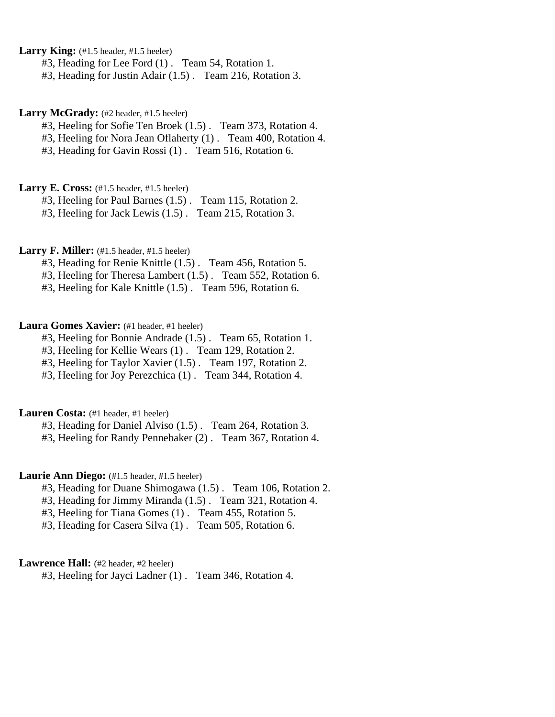Larry King: (#1.5 header, #1.5 heeler)

#3, Heading for Lee Ford (1) . Team 54, Rotation 1.

#3, Heading for Justin Adair (1.5) . Team 216, Rotation 3.

Larry McGrady: (#2 header, #1.5 heeler)

#3, Heeling for Sofie Ten Broek (1.5) . Team 373, Rotation 4.

#3, Heeling for Nora Jean Oflaherty (1) . Team 400, Rotation 4.

#3, Heading for Gavin Rossi (1) . Team 516, Rotation 6.

**Larry E. Cross:** (#1.5 header, #1.5 heeler)

#3, Heeling for Paul Barnes (1.5) . Team 115, Rotation 2.

#3, Heeling for Jack Lewis (1.5) . Team 215, Rotation 3.

Larry F. Miller: (#1.5 header, #1.5 heeler)

#3, Heading for Renie Knittle (1.5) . Team 456, Rotation 5.

#3, Heeling for Theresa Lambert (1.5) . Team 552, Rotation 6.

#3, Heeling for Kale Knittle (1.5) . Team 596, Rotation 6.

Laura Gomes Xavier: (#1 header, #1 heeler)

#3, Heeling for Bonnie Andrade (1.5) . Team 65, Rotation 1.

#3, Heeling for Kellie Wears (1) . Team 129, Rotation 2.

#3, Heeling for Taylor Xavier (1.5) . Team 197, Rotation 2.

#3, Heeling for Joy Perezchica (1) . Team 344, Rotation 4.

Lauren Costa: (#1 header, #1 heeler)

#3, Heading for Daniel Alviso (1.5) . Team 264, Rotation 3.

#3, Heeling for Randy Pennebaker (2) . Team 367, Rotation 4.

Laurie Ann Diego: (#1.5 header, #1.5 heeler)

#3, Heading for Duane Shimogawa (1.5) . Team 106, Rotation 2.

#3, Heading for Jimmy Miranda (1.5) . Team 321, Rotation 4.

#3, Heeling for Tiana Gomes (1) . Team 455, Rotation 5.

#3, Heading for Casera Silva (1) . Team 505, Rotation 6.

# Lawrence Hall: (#2 header, #2 heeler)

#3, Heeling for Jayci Ladner (1) . Team 346, Rotation 4.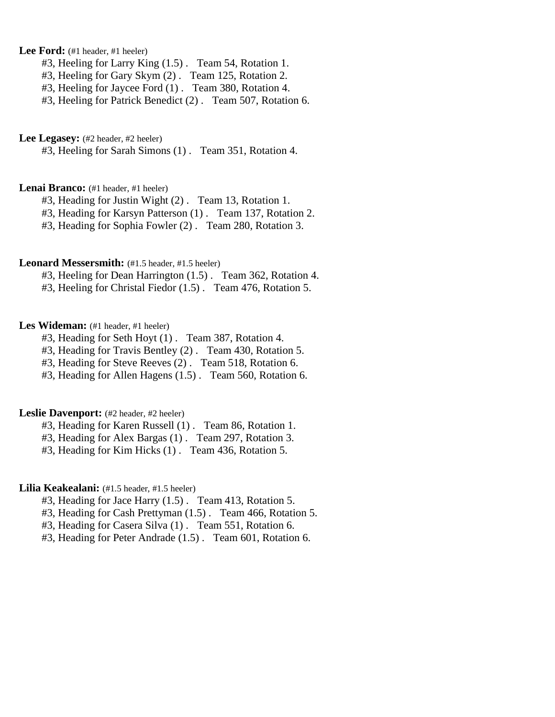# Lee Ford: (#1 header, #1 heeler)

- #3, Heeling for Larry King (1.5) . Team 54, Rotation 1.
- #3, Heeling for Gary Skym (2) . Team 125, Rotation 2.
- #3, Heeling for Jaycee Ford (1) . Team 380, Rotation 4.
- #3, Heeling for Patrick Benedict (2) . Team 507, Rotation 6.

#### Lee Legasey: (#2 header, #2 heeler)

#3, Heeling for Sarah Simons (1) . Team 351, Rotation 4.

### Lenai Branco: (#1 header, #1 heeler)

- #3, Heading for Justin Wight (2) . Team 13, Rotation 1.
- #3, Heading for Karsyn Patterson (1) . Team 137, Rotation 2.
- #3, Heading for Sophia Fowler (2) . Team 280, Rotation 3.

### Leonard Messersmith: (#1.5 header, #1.5 heeler)

- #3, Heeling for Dean Harrington (1.5) . Team 362, Rotation 4.
- #3, Heeling for Christal Fiedor (1.5) . Team 476, Rotation 5.

# Les Wideman: (#1 header, #1 heeler)

- #3, Heading for Seth Hoyt (1) . Team 387, Rotation 4.
- #3, Heading for Travis Bentley (2) . Team 430, Rotation 5.
- #3, Heading for Steve Reeves (2) . Team 518, Rotation 6.
- #3, Heading for Allen Hagens (1.5) . Team 560, Rotation 6.

# Leslie Davenport: (#2 header, #2 heeler)

- #3, Heading for Karen Russell (1) . Team 86, Rotation 1.
- #3, Heading for Alex Bargas (1) . Team 297, Rotation 3.
- #3, Heading for Kim Hicks (1) . Team 436, Rotation 5.

# Lilia Keakealani: (#1.5 header, #1.5 heeler)

- #3, Heading for Jace Harry (1.5) . Team 413, Rotation 5.
- #3, Heading for Cash Prettyman (1.5) . Team 466, Rotation 5.
- #3, Heading for Casera Silva (1) . Team 551, Rotation 6.
- #3, Heading for Peter Andrade (1.5) . Team 601, Rotation 6.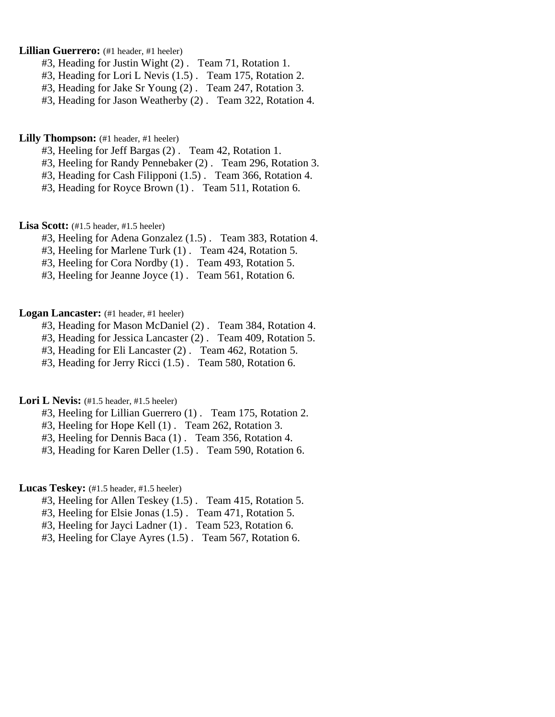# Lillian Guerrero: (#1 header, #1 heeler)

- #3, Heading for Justin Wight (2) . Team 71, Rotation 1.
- #3, Heading for Lori L Nevis (1.5) . Team 175, Rotation 2.
- #3, Heading for Jake Sr Young (2) . Team 247, Rotation 3.
- #3, Heading for Jason Weatherby (2) . Team 322, Rotation 4.

**Lilly Thompson:** (#1 header, #1 heeler)

- #3, Heeling for Jeff Bargas (2) . Team 42, Rotation 1.
- #3, Heeling for Randy Pennebaker (2) . Team 296, Rotation 3.
- #3, Heading for Cash Filipponi (1.5) . Team 366, Rotation 4.
- #3, Heading for Royce Brown (1) . Team 511, Rotation 6.

Lisa Scott: (#1.5 header, #1.5 heeler)

- #3, Heeling for Adena Gonzalez (1.5) . Team 383, Rotation 4.
- #3, Heeling for Marlene Turk (1) . Team 424, Rotation 5.
- #3, Heeling for Cora Nordby (1) . Team 493, Rotation 5.
- #3, Heeling for Jeanne Joyce (1) . Team 561, Rotation 6.

# Logan Lancaster: (#1 header, #1 heeler)

- #3, Heading for Mason McDaniel (2) . Team 384, Rotation 4.
- #3, Heading for Jessica Lancaster (2) . Team 409, Rotation 5.
- #3, Heading for Eli Lancaster (2) . Team 462, Rotation 5.
- #3, Heading for Jerry Ricci (1.5) . Team 580, Rotation 6.

Lori L Nevis: (#1.5 header, #1.5 heeler)

- #3, Heeling for Lillian Guerrero (1) . Team 175, Rotation 2.
- #3, Heeling for Hope Kell (1) . Team 262, Rotation 3.
- #3, Heeling for Dennis Baca (1) . Team 356, Rotation 4.
- #3, Heading for Karen Deller (1.5) . Team 590, Rotation 6.

# Lucas Teskey: (#1.5 header, #1.5 heeler)

- #3, Heeling for Allen Teskey (1.5) . Team 415, Rotation 5.
- #3, Heeling for Elsie Jonas (1.5) . Team 471, Rotation 5.
- #3, Heeling for Jayci Ladner (1) . Team 523, Rotation 6.
- #3, Heeling for Claye Ayres (1.5) . Team 567, Rotation 6.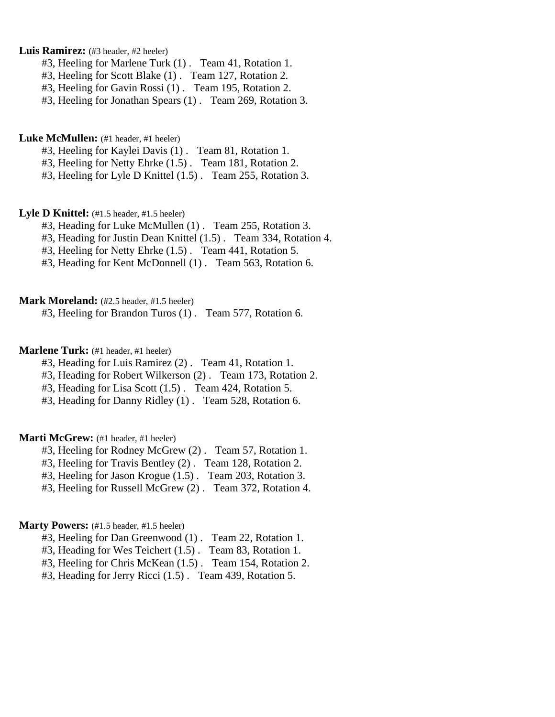### Luis Ramirez: (#3 header, #2 heeler)

- #3, Heeling for Marlene Turk (1) . Team 41, Rotation 1.
- #3, Heeling for Scott Blake (1) . Team 127, Rotation 2.
- #3, Heeling for Gavin Rossi (1) . Team 195, Rotation 2.
- #3, Heeling for Jonathan Spears (1) . Team 269, Rotation 3.

### Luke McMullen: (#1 header, #1 heeler)

- #3, Heeling for Kaylei Davis (1) . Team 81, Rotation 1.
- #3, Heeling for Netty Ehrke (1.5) . Team 181, Rotation 2.
- #3, Heeling for Lyle D Knittel (1.5) . Team 255, Rotation 3.

### Lyle D Knittel: (#1.5 header, #1.5 heeler)

- #3, Heading for Luke McMullen (1) . Team 255, Rotation 3.
- #3, Heading for Justin Dean Knittel (1.5) . Team 334, Rotation 4.
- #3, Heeling for Netty Ehrke (1.5) . Team 441, Rotation 5.
- #3, Heading for Kent McDonnell (1) . Team 563, Rotation 6.

# **Mark Moreland:** (#2.5 header, #1.5 heeler)

#3, Heeling for Brandon Turos (1) . Team 577, Rotation 6.

# **Marlene Turk:** (#1 header, #1 heeler)

- #3, Heading for Luis Ramirez (2) . Team 41, Rotation 1.
- #3, Heading for Robert Wilkerson (2) . Team 173, Rotation 2.
- #3, Heading for Lisa Scott (1.5) . Team 424, Rotation 5.
- #3, Heading for Danny Ridley (1) . Team 528, Rotation 6.

### Marti McGrew: (#1 header, #1 heeler)

- #3, Heeling for Rodney McGrew (2) . Team 57, Rotation 1.
- #3, Heeling for Travis Bentley (2) . Team 128, Rotation 2.
- #3, Heeling for Jason Krogue (1.5) . Team 203, Rotation 3.
- #3, Heeling for Russell McGrew (2) . Team 372, Rotation 4.

# **Marty Powers:** (#1.5 header, #1.5 heeler)

- #3, Heeling for Dan Greenwood (1) . Team 22, Rotation 1.
- #3, Heading for Wes Teichert (1.5) . Team 83, Rotation 1.
- #3, Heeling for Chris McKean (1.5) . Team 154, Rotation 2.
- #3, Heading for Jerry Ricci (1.5) . Team 439, Rotation 5.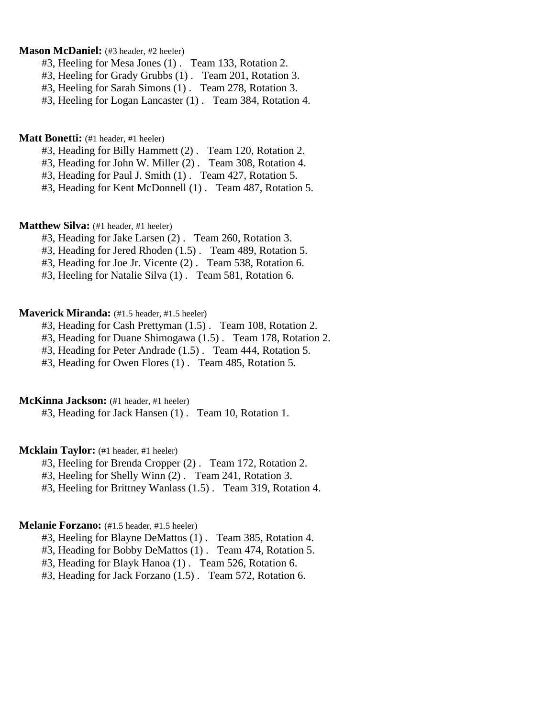# **Mason McDaniel:** (#3 header, #2 heeler)

- #3, Heeling for Mesa Jones (1) . Team 133, Rotation 2.
- #3, Heeling for Grady Grubbs (1) . Team 201, Rotation 3.
- #3, Heeling for Sarah Simons (1) . Team 278, Rotation 3.

#3, Heeling for Logan Lancaster (1) . Team 384, Rotation 4.

#### **Matt Bonetti:** (#1 header, #1 heeler)

- #3, Heading for Billy Hammett (2) . Team 120, Rotation 2.
- #3, Heading for John W. Miller (2) . Team 308, Rotation 4.
- #3, Heading for Paul J. Smith (1) . Team 427, Rotation 5.
- #3, Heading for Kent McDonnell (1) . Team 487, Rotation 5.

# **Matthew Silva:** (#1 header, #1 heeler)

- #3, Heading for Jake Larsen (2) . Team 260, Rotation 3.
- #3, Heading for Jered Rhoden (1.5) . Team 489, Rotation 5.
- #3, Heading for Joe Jr. Vicente (2) . Team 538, Rotation 6.
- #3, Heeling for Natalie Silva (1) . Team 581, Rotation 6.

# **Maverick Miranda:** (#1.5 header, #1.5 heeler)

- #3, Heading for Cash Prettyman (1.5) . Team 108, Rotation 2.
- #3, Heading for Duane Shimogawa (1.5) . Team 178, Rotation 2.
- #3, Heading for Peter Andrade (1.5) . Team 444, Rotation 5.
- #3, Heading for Owen Flores (1) . Team 485, Rotation 5.

# **McKinna Jackson:** (#1 header, #1 heeler)

#3, Heading for Jack Hansen (1) . Team 10, Rotation 1.

### **Mcklain Taylor:** (#1 header, #1 heeler)

- #3, Heeling for Brenda Cropper (2) . Team 172, Rotation 2.
- #3, Heeling for Shelly Winn (2) . Team 241, Rotation 3.
- #3, Heeling for Brittney Wanlass (1.5) . Team 319, Rotation 4.

#### **Melanie Forzano:** (#1.5 header, #1.5 heeler)

- #3, Heeling for Blayne DeMattos (1) . Team 385, Rotation 4.
- #3, Heading for Bobby DeMattos (1) . Team 474, Rotation 5.
- #3, Heading for Blayk Hanoa (1) . Team 526, Rotation 6.
- #3, Heading for Jack Forzano (1.5) . Team 572, Rotation 6.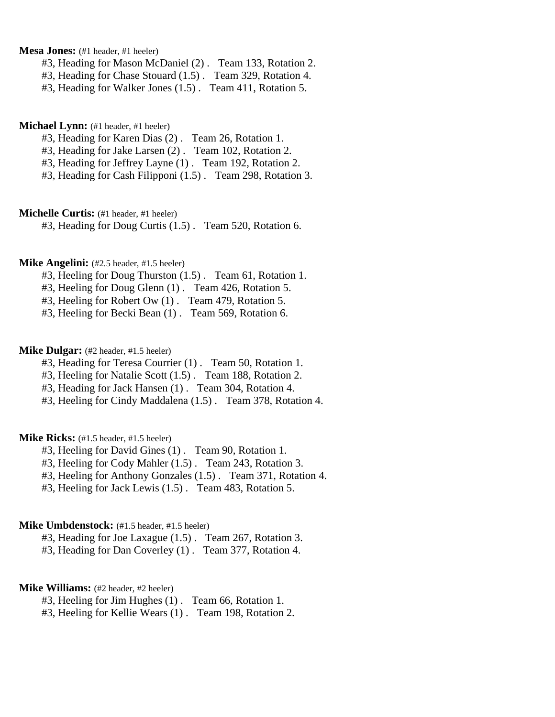**Mesa Jones:** (#1 header, #1 heeler)

- #3, Heading for Mason McDaniel (2) . Team 133, Rotation 2.
- #3, Heading for Chase Stouard (1.5) . Team 329, Rotation 4.
- #3, Heading for Walker Jones (1.5) . Team 411, Rotation 5.

# **Michael Lynn:** (#1 header, #1 heeler)

- #3, Heading for Karen Dias (2) . Team 26, Rotation 1.
- #3, Heading for Jake Larsen (2) . Team 102, Rotation 2.
- #3, Heading for Jeffrey Layne (1) . Team 192, Rotation 2.
- #3, Heading for Cash Filipponi (1.5) . Team 298, Rotation 3.

**Michelle Curtis:** (#1 header, #1 heeler)

#3, Heading for Doug Curtis (1.5) . Team 520, Rotation 6.

# **Mike Angelini:** (#2.5 header, #1.5 heeler)

- #3, Heeling for Doug Thurston (1.5) . Team 61, Rotation 1.
- #3, Heeling for Doug Glenn (1) . Team 426, Rotation 5.
- #3, Heeling for Robert Ow (1) . Team 479, Rotation 5.
- #3, Heeling for Becki Bean (1) . Team 569, Rotation 6.

# **Mike Dulgar:** (#2 header, #1.5 heeler)

- #3, Heading for Teresa Courrier (1) . Team 50, Rotation 1.
- #3, Heeling for Natalie Scott (1.5) . Team 188, Rotation 2.
- #3, Heading for Jack Hansen (1) . Team 304, Rotation 4.
- #3, Heeling for Cindy Maddalena (1.5) . Team 378, Rotation 4.

### **Mike Ricks:** (#1.5 header, #1.5 heeler)

- #3, Heeling for David Gines (1) . Team 90, Rotation 1.
- #3, Heeling for Cody Mahler (1.5) . Team 243, Rotation 3.
- #3, Heeling for Anthony Gonzales (1.5) . Team 371, Rotation 4.
- #3, Heeling for Jack Lewis (1.5) . Team 483, Rotation 5.

#### **Mike Umbdenstock:** (#1.5 header, #1.5 heeler)

#3, Heading for Joe Laxague (1.5) . Team 267, Rotation 3.

#3, Heading for Dan Coverley (1) . Team 377, Rotation 4.

# **Mike Williams:** (#2 header, #2 heeler)

- #3, Heeling for Jim Hughes (1) . Team 66, Rotation 1.
- #3, Heeling for Kellie Wears (1) . Team 198, Rotation 2.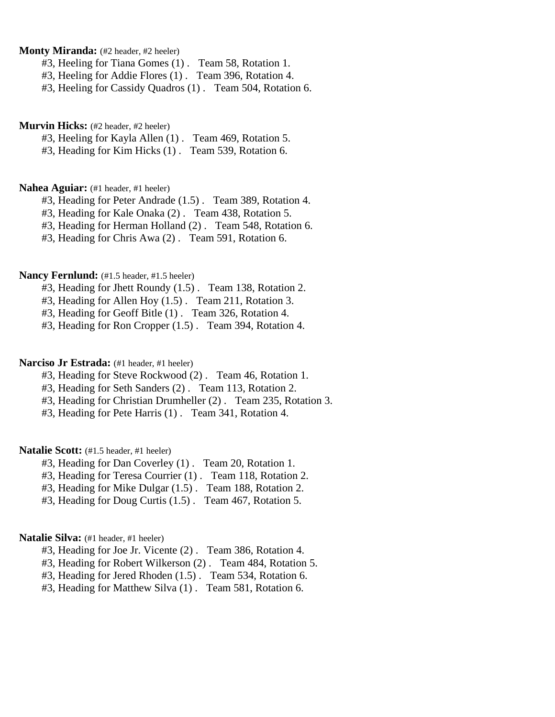**Monty Miranda:** (#2 header, #2 heeler)

#3, Heeling for Tiana Gomes (1) . Team 58, Rotation 1.

#3, Heeling for Addie Flores (1) . Team 396, Rotation 4.

#3, Heeling for Cassidy Quadros (1) . Team 504, Rotation 6.

### **Murvin Hicks:** (#2 header, #2 heeler)

#3, Heeling for Kayla Allen (1) . Team 469, Rotation 5.

#3, Heading for Kim Hicks (1) . Team 539, Rotation 6.

#### **Nahea Aguiar:** (#1 header, #1 heeler)

#3, Heading for Peter Andrade (1.5) . Team 389, Rotation 4.

#3, Heading for Kale Onaka (2) . Team 438, Rotation 5.

#3, Heading for Herman Holland (2) . Team 548, Rotation 6.

#3, Heading for Chris Awa (2) . Team 591, Rotation 6.

### Nancy Fernlund:  $(\text{\#1.5} \text{ header}, \text{\#1.5} \text{ header})$

#3, Heading for Jhett Roundy (1.5) . Team 138, Rotation 2.

#3, Heading for Allen Hoy (1.5) . Team 211, Rotation 3.

#3, Heading for Geoff Bitle (1) . Team 326, Rotation 4.

#3, Heading for Ron Cropper (1.5) . Team 394, Rotation 4.

# Narciso Jr Estrada: (#1 header, #1 heeler)

#3, Heading for Steve Rockwood (2) . Team 46, Rotation 1.

#3, Heading for Seth Sanders (2) . Team 113, Rotation 2.

#3, Heading for Christian Drumheller (2) . Team 235, Rotation 3.

#3, Heading for Pete Harris (1) . Team 341, Rotation 4.

# **Natalie Scott:** (#1.5 header, #1 heeler)

#3, Heading for Dan Coverley (1) . Team 20, Rotation 1.

#3, Heading for Teresa Courrier (1) . Team 118, Rotation 2.

#3, Heading for Mike Dulgar (1.5) . Team 188, Rotation 2.

#3, Heading for Doug Curtis (1.5) . Team 467, Rotation 5.

# Natalie Silva: (#1 header, #1 heeler)

- #3, Heading for Joe Jr. Vicente (2) . Team 386, Rotation 4.
- #3, Heading for Robert Wilkerson (2) . Team 484, Rotation 5.
- #3, Heading for Jered Rhoden (1.5) . Team 534, Rotation 6.
- #3, Heading for Matthew Silva (1) . Team 581, Rotation 6.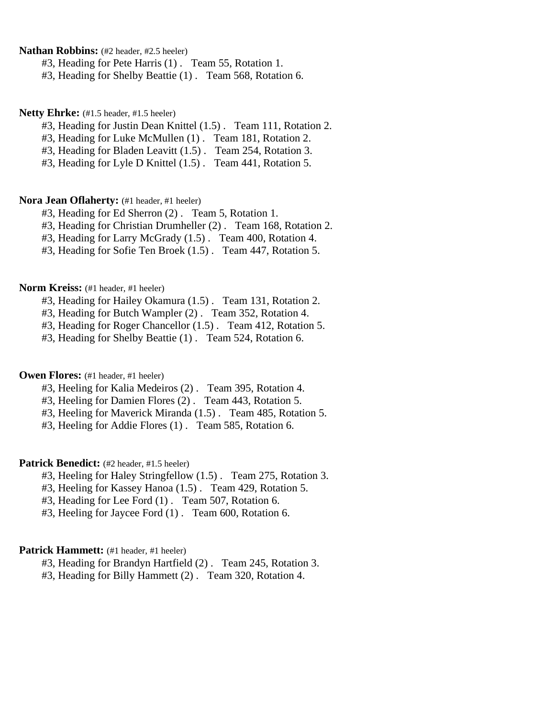**Nathan Robbins:** (#2 header, #2.5 heeler)

#3, Heading for Pete Harris (1) . Team 55, Rotation 1.

#3, Heading for Shelby Beattie (1) . Team 568, Rotation 6.

#### **Netty Ehrke:** (#1.5 header, #1.5 heeler)

- #3, Heading for Justin Dean Knittel (1.5) . Team 111, Rotation 2.
- #3, Heading for Luke McMullen (1) . Team 181, Rotation 2.
- #3, Heading for Bladen Leavitt (1.5) . Team 254, Rotation 3.
- #3, Heading for Lyle D Knittel (1.5) . Team 441, Rotation 5.

# **Nora Jean Oflaherty:** (#1 header, #1 heeler)

- #3, Heading for Ed Sherron (2) . Team 5, Rotation 1.
- #3, Heading for Christian Drumheller (2) . Team 168, Rotation 2.
- #3, Heading for Larry McGrady (1.5) . Team 400, Rotation 4.
- #3, Heading for Sofie Ten Broek (1.5) . Team 447, Rotation 5.

#### **Norm Kreiss:** (#1 header, #1 heeler)

- #3, Heading for Hailey Okamura (1.5) . Team 131, Rotation 2.
- #3, Heading for Butch Wampler (2) . Team 352, Rotation 4.
- #3, Heading for Roger Chancellor (1.5) . Team 412, Rotation 5.
- #3, Heading for Shelby Beattie (1) . Team 524, Rotation 6.

### **Owen Flores:** (#1 header, #1 heeler)

- #3, Heeling for Kalia Medeiros (2) . Team 395, Rotation 4.
- #3, Heeling for Damien Flores (2) . Team 443, Rotation 5.
- #3, Heeling for Maverick Miranda (1.5) . Team 485, Rotation 5.
- #3, Heeling for Addie Flores (1) . Team 585, Rotation 6.

# Patrick Benedict: (#2 header, #1.5 heeler)

- #3, Heeling for Haley Stringfellow (1.5) . Team 275, Rotation 3.
- #3, Heeling for Kassey Hanoa (1.5) . Team 429, Rotation 5.
- #3, Heading for Lee Ford (1) . Team 507, Rotation 6.
- #3, Heeling for Jaycee Ford (1) . Team 600, Rotation 6.

### Patrick Hammett: (#1 header, #1 heeler)

- #3, Heading for Brandyn Hartfield (2) . Team 245, Rotation 3.
- #3, Heading for Billy Hammett (2) . Team 320, Rotation 4.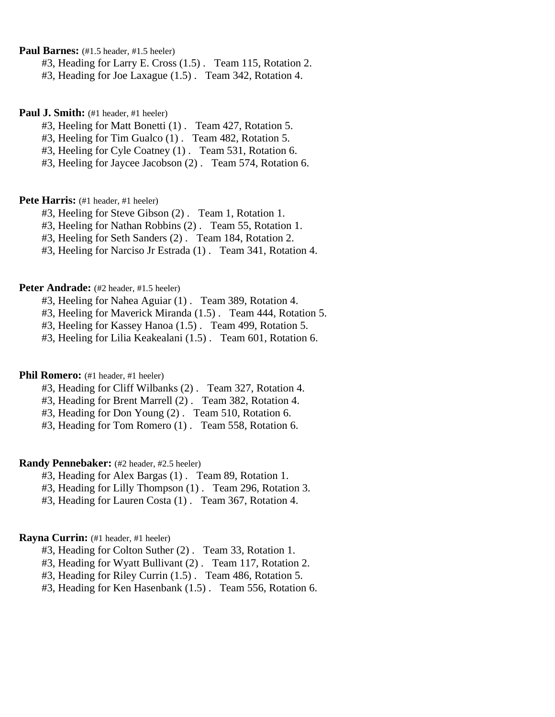**Paul Barnes:** (#1.5 header, #1.5 heeler)

#3, Heading for Larry E. Cross (1.5) . Team 115, Rotation 2.

#3, Heading for Joe Laxague (1.5) . Team 342, Rotation 4.

#### **Paul J. Smith:** (#1 header, #1 heeler)

- #3, Heeling for Matt Bonetti (1) . Team 427, Rotation 5.
- #3, Heeling for Tim Gualco (1) . Team 482, Rotation 5.
- #3, Heeling for Cyle Coatney (1) . Team 531, Rotation 6.
- #3, Heeling for Jaycee Jacobson (2) . Team 574, Rotation 6.

# Pete Harris: (#1 header, #1 heeler)

- #3, Heeling for Steve Gibson (2) . Team 1, Rotation 1.
- #3, Heeling for Nathan Robbins (2) . Team 55, Rotation 1.
- #3, Heeling for Seth Sanders (2) . Team 184, Rotation 2.
- #3, Heeling for Narciso Jr Estrada (1) . Team 341, Rotation 4.

#### Peter Andrade: (#2 header, #1.5 heeler)

- #3, Heeling for Nahea Aguiar (1) . Team 389, Rotation 4.
- #3, Heeling for Maverick Miranda (1.5) . Team 444, Rotation 5.
- #3, Heeling for Kassey Hanoa (1.5) . Team 499, Rotation 5.
- #3, Heeling for Lilia Keakealani (1.5) . Team 601, Rotation 6.

### **Phil Romero:** (#1 header, #1 heeler)

- #3, Heading for Cliff Wilbanks (2) . Team 327, Rotation 4.
- #3, Heading for Brent Marrell (2) . Team 382, Rotation 4.
- #3, Heading for Don Young (2) . Team 510, Rotation 6.
- #3, Heading for Tom Romero (1) . Team 558, Rotation 6.

# **Randy Pennebaker:** (#2 header, #2.5 heeler)

- #3, Heading for Alex Bargas (1) . Team 89, Rotation 1.
- #3, Heading for Lilly Thompson (1) . Team 296, Rotation 3.
- #3, Heading for Lauren Costa (1) . Team 367, Rotation 4.

# **Rayna Currin:** (#1 header, #1 heeler)

- #3, Heading for Colton Suther (2) . Team 33, Rotation 1.
- #3, Heading for Wyatt Bullivant (2) . Team 117, Rotation 2.
- #3, Heading for Riley Currin (1.5) . Team 486, Rotation 5.
- #3, Heading for Ken Hasenbank (1.5) . Team 556, Rotation 6.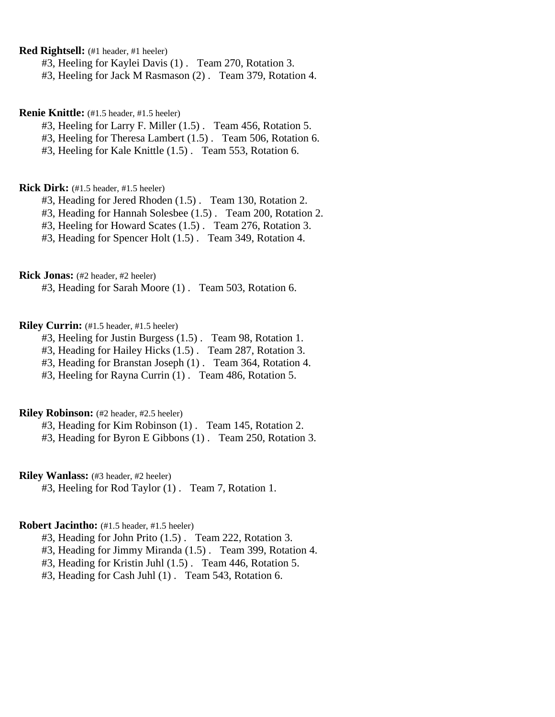**Red Rightsell:** (#1 header, #1 heeler)

#3, Heeling for Kaylei Davis (1) . Team 270, Rotation 3.

#3, Heeling for Jack M Rasmason (2) . Team 379, Rotation 4.

**Renie Knittle:** (#1.5 header, #1.5 heeler)

#3, Heeling for Larry F. Miller (1.5) . Team 456, Rotation 5.

#3, Heeling for Theresa Lambert (1.5) . Team 506, Rotation 6.

#3, Heeling for Kale Knittle (1.5) . Team 553, Rotation 6.

**Rick Dirk:** (#1.5 header, #1.5 heeler)

#3, Heading for Jered Rhoden (1.5) . Team 130, Rotation 2.

#3, Heading for Hannah Solesbee (1.5) . Team 200, Rotation 2.

#3, Heeling for Howard Scates (1.5) . Team 276, Rotation 3.

#3, Heading for Spencer Holt (1.5) . Team 349, Rotation 4.

**Rick Jonas:** (#2 header, #2 heeler)

#3, Heading for Sarah Moore (1) . Team 503, Rotation 6.

**Riley Currin:** (#1.5 header, #1.5 heeler)

#3, Heeling for Justin Burgess (1.5) . Team 98, Rotation 1.

#3, Heading for Hailey Hicks (1.5) . Team 287, Rotation 3.

#3, Heading for Branstan Joseph (1) . Team 364, Rotation 4.

#3, Heeling for Rayna Currin (1) . Team 486, Rotation 5.

# **Riley Robinson:** (#2 header, #2.5 heeler)

#3, Heading for Kim Robinson (1) . Team 145, Rotation 2.

#3, Heading for Byron E Gibbons (1) . Team 250, Rotation 3.

**Riley Wanlass:** (#3 header, #2 heeler)

#3, Heeling for Rod Taylor (1) . Team 7, Rotation 1.

#### **Robert Jacintho:** (#1.5 header, #1.5 heeler)

#3, Heading for John Prito (1.5) . Team 222, Rotation 3.

#3, Heading for Jimmy Miranda (1.5) . Team 399, Rotation 4.

#3, Heading for Kristin Juhl (1.5) . Team 446, Rotation 5.

#3, Heading for Cash Juhl (1) . Team 543, Rotation 6.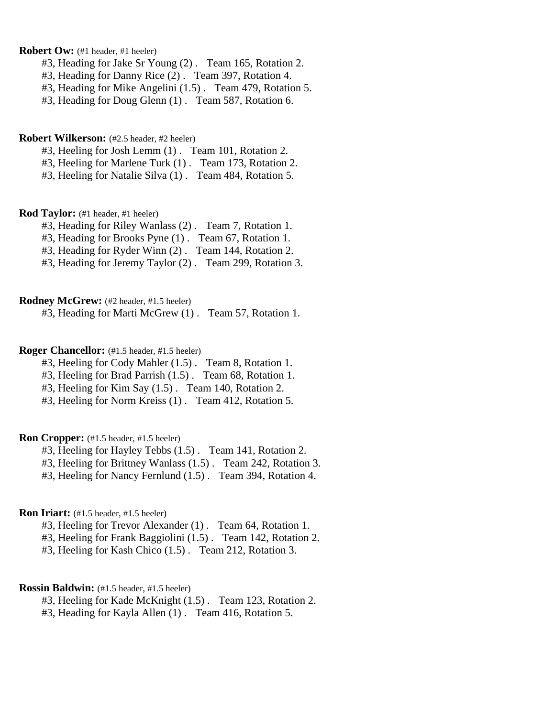# **Robert Ow:** (#1 header, #1 heeler)

- #3, Heading for Jake Sr Young (2) . Team 165, Rotation 2.
- #3, Heading for Danny Rice (2) . Team 397, Rotation 4.
- #3, Heading for Mike Angelini (1.5) . Team 479, Rotation 5.
- #3, Heading for Doug Glenn (1) . Team 587, Rotation 6.

#### **Robert Wilkerson:** (#2.5 header, #2 heeler)

- #3, Heeling for Josh Lemm (1) . Team 101, Rotation 2.
- #3, Heeling for Marlene Turk (1) . Team 173, Rotation 2.
- #3, Heeling for Natalie Silva (1) . Team 484, Rotation 5.

#### **Rod Taylor:** (#1 header, #1 heeler)

- #3, Heading for Riley Wanlass (2) . Team 7, Rotation 1.
- #3, Heading for Brooks Pyne (1) . Team 67, Rotation 1.
- #3, Heading for Ryder Winn (2) . Team 144, Rotation 2.
- #3, Heading for Jeremy Taylor (2) . Team 299, Rotation 3.

# **Rodney McGrew:** (#2 header, #1.5 heeler)

#3, Heading for Marti McGrew (1) . Team 57, Rotation 1.

# **Roger Chancellor:** (#1.5 header, #1.5 heeler)

- #3, Heeling for Cody Mahler (1.5) . Team 8, Rotation 1.
- #3, Heeling for Brad Parrish (1.5) . Team 68, Rotation 1.
- #3, Heeling for Kim Say (1.5) . Team 140, Rotation 2.
- #3, Heeling for Norm Kreiss (1) . Team 412, Rotation 5.

### **Ron Cropper:** (#1.5 header, #1.5 heeler)

- #3, Heeling for Hayley Tebbs (1.5) . Team 141, Rotation 2.
- #3, Heeling for Brittney Wanlass (1.5) . Team 242, Rotation 3.
- #3, Heeling for Nancy Fernlund (1.5) . Team 394, Rotation 4.

# **Ron Iriart:** (#1.5 header, #1.5 heeler)

- #3, Heeling for Trevor Alexander (1) . Team 64, Rotation 1.
- #3, Heeling for Frank Baggiolini (1.5) . Team 142, Rotation 2.
- #3, Heeling for Kash Chico (1.5) . Team 212, Rotation 3.

### **Rossin Baldwin:** (#1.5 header, #1.5 heeler)

- #3, Heeling for Kade McKnight (1.5) . Team 123, Rotation 2.
- #3, Heading for Kayla Allen (1) . Team 416, Rotation 5.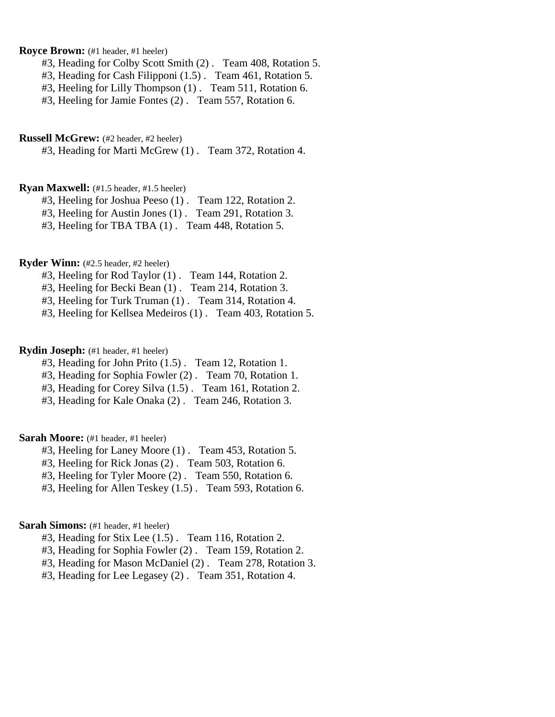# **Royce Brown:** (#1 header, #1 heeler)

#3, Heading for Colby Scott Smith (2) . Team 408, Rotation 5.

- #3, Heading for Cash Filipponi (1.5) . Team 461, Rotation 5.
- #3, Heeling for Lilly Thompson (1) . Team 511, Rotation 6.
- #3, Heeling for Jamie Fontes (2) . Team 557, Rotation 6.

#### **Russell McGrew:** (#2 header, #2 heeler)

#3, Heading for Marti McGrew (1) . Team 372, Rotation 4.

#### **Ryan Maxwell:** (#1.5 header, #1.5 heeler)

#3, Heeling for Joshua Peeso (1) . Team 122, Rotation 2.

#3, Heeling for Austin Jones (1) . Team 291, Rotation 3.

#3, Heeling for TBA TBA (1) . Team 448, Rotation 5.

# **Ryder Winn:** (#2.5 header, #2 heeler)

#3, Heeling for Rod Taylor (1) . Team 144, Rotation 2.

#3, Heeling for Becki Bean (1) . Team 214, Rotation 3.

#3, Heeling for Turk Truman (1) . Team 314, Rotation 4.

#3, Heeling for Kellsea Medeiros (1) . Team 403, Rotation 5.

### **Rydin Joseph:** (#1 header, #1 heeler)

- #3, Heading for John Prito (1.5) . Team 12, Rotation 1.
- #3, Heading for Sophia Fowler (2) . Team 70, Rotation 1.
- #3, Heading for Corey Silva (1.5) . Team 161, Rotation 2.
- #3, Heading for Kale Onaka (2) . Team 246, Rotation 3.

### Sarah Moore: (#1 header, #1 heeler)

- #3, Heeling for Laney Moore (1) . Team 453, Rotation 5.
- #3, Heeling for Rick Jonas (2) . Team 503, Rotation 6.
- #3, Heeling for Tyler Moore (2) . Team 550, Rotation 6.
- #3, Heeling for Allen Teskey (1.5) . Team 593, Rotation 6.

### **Sarah Simons:** (#1 header, #1 heeler)

- #3, Heading for Stix Lee (1.5) . Team 116, Rotation 2.
- #3, Heading for Sophia Fowler (2) . Team 159, Rotation 2.
- #3, Heading for Mason McDaniel (2) . Team 278, Rotation 3.
- #3, Heading for Lee Legasey (2) . Team 351, Rotation 4.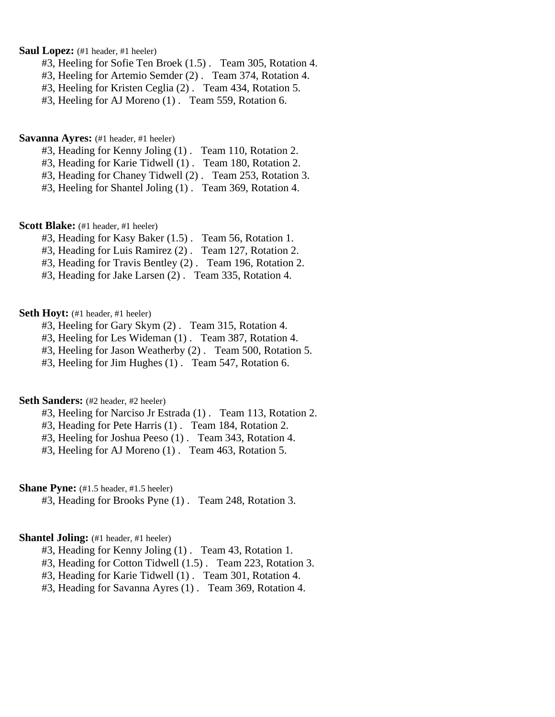**Saul Lopez:** (#1 header, #1 heeler)

- #3, Heeling for Sofie Ten Broek (1.5) . Team 305, Rotation 4.
- #3, Heeling for Artemio Semder (2) . Team 374, Rotation 4.
- #3, Heeling for Kristen Ceglia (2) . Team 434, Rotation 5.
- #3, Heeling for AJ Moreno (1) . Team 559, Rotation 6.

**Savanna Ayres:** (#1 header, #1 heeler)

- #3, Heading for Kenny Joling (1) . Team 110, Rotation 2.
- #3, Heading for Karie Tidwell (1) . Team 180, Rotation 2.
- #3, Heading for Chaney Tidwell (2) . Team 253, Rotation 3.
- #3, Heeling for Shantel Joling (1) . Team 369, Rotation 4.

**Scott Blake:** (#1 header, #1 heeler)

- #3, Heading for Kasy Baker (1.5) . Team 56, Rotation 1.
- #3, Heading for Luis Ramirez (2) . Team 127, Rotation 2.
- #3, Heading for Travis Bentley (2) . Team 196, Rotation 2.
- #3, Heading for Jake Larsen (2) . Team 335, Rotation 4.

# Seth Hoyt: (#1 header, #1 heeler)

- #3, Heeling for Gary Skym (2) . Team 315, Rotation 4.
- #3, Heeling for Les Wideman (1) . Team 387, Rotation 4.
- #3, Heeling for Jason Weatherby (2) . Team 500, Rotation 5.
- #3, Heeling for Jim Hughes (1) . Team 547, Rotation 6.

# Seth Sanders: (#2 header, #2 heeler)

- #3, Heeling for Narciso Jr Estrada (1) . Team 113, Rotation 2.
- #3, Heading for Pete Harris (1) . Team 184, Rotation 2.
- #3, Heeling for Joshua Peeso (1) . Team 343, Rotation 4.
- #3, Heeling for AJ Moreno (1) . Team 463, Rotation 5.

**Shane Pyne:** (#1.5 header, #1.5 heeler)

#3, Heading for Brooks Pyne (1) . Team 248, Rotation 3.

# **Shantel Joling:** (#1 header, #1 heeler)

- #3, Heading for Kenny Joling (1) . Team 43, Rotation 1.
- #3, Heading for Cotton Tidwell (1.5) . Team 223, Rotation 3.
- #3, Heading for Karie Tidwell (1) . Team 301, Rotation 4.
- #3, Heading for Savanna Ayres (1) . Team 369, Rotation 4.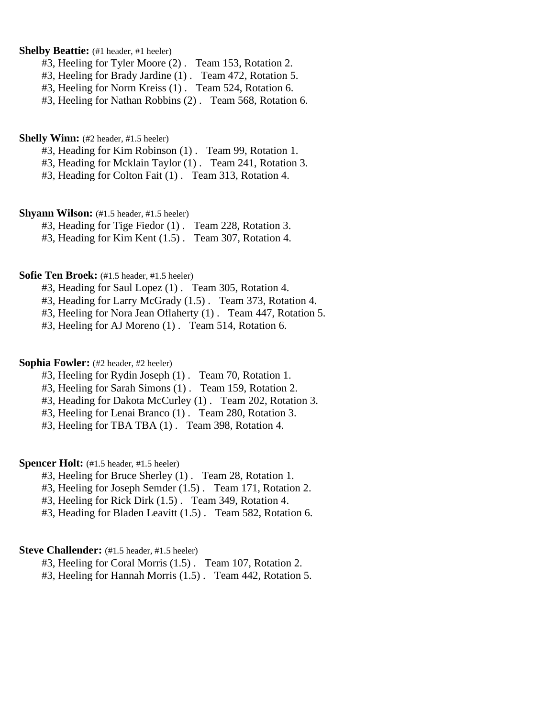# **Shelby Beattie:** (#1 header, #1 heeler)

- #3, Heeling for Tyler Moore (2) . Team 153, Rotation 2.
- #3, Heeling for Brady Jardine (1) . Team 472, Rotation 5.
- #3, Heeling for Norm Kreiss (1) . Team 524, Rotation 6.
- #3, Heeling for Nathan Robbins (2) . Team 568, Rotation 6.

#### **Shelly Winn:** (#2 header, #1.5 heeler)

- #3, Heading for Kim Robinson (1) . Team 99, Rotation 1.
- #3, Heading for Mcklain Taylor (1) . Team 241, Rotation 3.
- #3, Heading for Colton Fait (1) . Team 313, Rotation 4.

### **Shyann Wilson:** (#1.5 header, #1.5 heeler)

- #3, Heading for Tige Fiedor (1) . Team 228, Rotation 3.
- #3, Heading for Kim Kent (1.5) . Team 307, Rotation 4.

# **Sofie Ten Broek:** (#1.5 header, #1.5 heeler)

- #3, Heading for Saul Lopez (1) . Team 305, Rotation 4.
- #3, Heading for Larry McGrady (1.5) . Team 373, Rotation 4.
- #3, Heeling for Nora Jean Oflaherty (1) . Team 447, Rotation 5.
- #3, Heeling for AJ Moreno (1) . Team 514, Rotation 6.

# **Sophia Fowler:** (#2 header, #2 heeler)

- #3, Heeling for Rydin Joseph (1) . Team 70, Rotation 1.
- #3, Heeling for Sarah Simons (1) . Team 159, Rotation 2.
- #3, Heading for Dakota McCurley (1) . Team 202, Rotation 3.
- #3, Heeling for Lenai Branco (1) . Team 280, Rotation 3.
- #3, Heeling for TBA TBA (1) . Team 398, Rotation 4.

# **Spencer Holt:** (#1.5 header, #1.5 heeler)

- #3, Heeling for Bruce Sherley (1) . Team 28, Rotation 1.
- #3, Heeling for Joseph Semder (1.5) . Team 171, Rotation 2.
- #3, Heeling for Rick Dirk (1.5) . Team 349, Rotation 4.
- #3, Heading for Bladen Leavitt (1.5) . Team 582, Rotation 6.

### **Steve Challender:** (#1.5 header, #1.5 heeler)

#3, Heeling for Coral Morris (1.5) . Team 107, Rotation 2.

#3, Heeling for Hannah Morris (1.5) . Team 442, Rotation 5.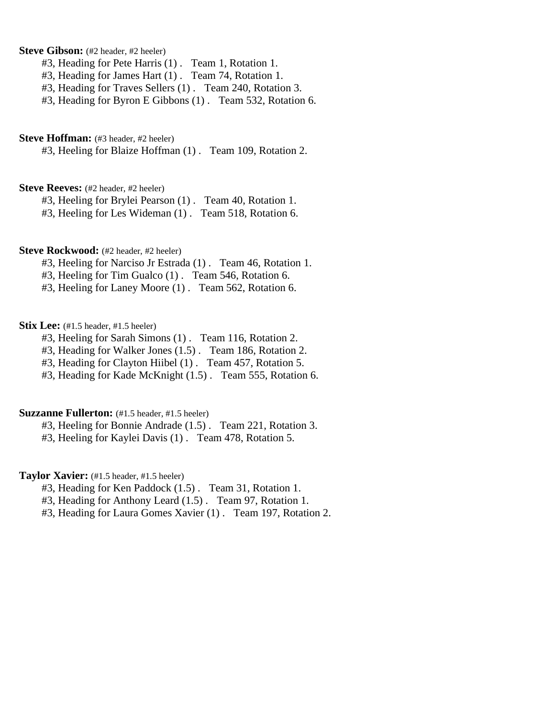# **Steve Gibson:** (#2 header, #2 heeler)

- #3, Heading for Pete Harris (1) . Team 1, Rotation 1.
- #3, Heading for James Hart (1) . Team 74, Rotation 1.
- #3, Heading for Traves Sellers (1) . Team 240, Rotation 3.
- #3, Heading for Byron E Gibbons (1) . Team 532, Rotation 6.

#### **Steve Hoffman:** (#3 header, #2 heeler)

#3, Heeling for Blaize Hoffman (1) . Team 109, Rotation 2.

#### **Steve Reeves:** (#2 header, #2 heeler)

#3, Heeling for Brylei Pearson (1) . Team 40, Rotation 1.

#3, Heeling for Les Wideman (1) . Team 518, Rotation 6.

# **Steve Rockwood:** (#2 header, #2 heeler)

- #3, Heeling for Narciso Jr Estrada (1) . Team 46, Rotation 1.
- #3, Heeling for Tim Gualco (1) . Team 546, Rotation 6.
- #3, Heeling for Laney Moore (1) . Team 562, Rotation 6.

# **Stix Lee:** (#1.5 header, #1.5 heeler)

- #3, Heeling for Sarah Simons (1) . Team 116, Rotation 2.
- #3, Heading for Walker Jones (1.5) . Team 186, Rotation 2.
- #3, Heading for Clayton Hiibel (1) . Team 457, Rotation 5.
- #3, Heading for Kade McKnight (1.5) . Team 555, Rotation 6.

# **Suzzanne Fullerton:** (#1.5 header, #1.5 heeler)

- #3, Heeling for Bonnie Andrade (1.5) . Team 221, Rotation 3.
- #3, Heeling for Kaylei Davis (1) . Team 478, Rotation 5.

# **Taylor Xavier:** (#1.5 header, #1.5 heeler)

- #3, Heading for Ken Paddock (1.5) . Team 31, Rotation 1.
- #3, Heading for Anthony Leard (1.5) . Team 97, Rotation 1.
- #3, Heading for Laura Gomes Xavier (1) . Team 197, Rotation 2.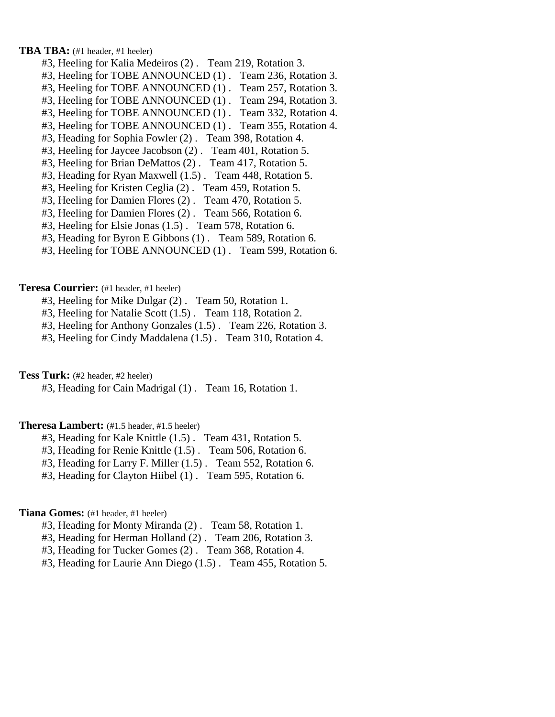**TBA TBA:** (#1 header, #1 heeler)

- #3, Heeling for Kalia Medeiros (2) . Team 219, Rotation 3.
- #3, Heeling for TOBE ANNOUNCED (1) . Team 236, Rotation 3.
- #3, Heeling for TOBE ANNOUNCED (1) . Team 257, Rotation 3.
- #3, Heeling for TOBE ANNOUNCED (1) . Team 294, Rotation 3.
- #3, Heeling for TOBE ANNOUNCED (1) . Team 332, Rotation 4.
- #3, Heeling for TOBE ANNOUNCED (1) . Team 355, Rotation 4.
- #3, Heading for Sophia Fowler (2) . Team 398, Rotation 4.
- #3, Heeling for Jaycee Jacobson (2) . Team 401, Rotation 5.
- #3, Heeling for Brian DeMattos (2) . Team 417, Rotation 5.
- #3, Heading for Ryan Maxwell (1.5) . Team 448, Rotation 5.
- #3, Heeling for Kristen Ceglia (2) . Team 459, Rotation 5.
- #3, Heeling for Damien Flores (2) . Team 470, Rotation 5.
- #3, Heeling for Damien Flores (2) . Team 566, Rotation 6.
- #3, Heeling for Elsie Jonas (1.5) . Team 578, Rotation 6.
- #3, Heading for Byron E Gibbons (1) . Team 589, Rotation 6.
- #3, Heeling for TOBE ANNOUNCED (1) . Team 599, Rotation 6.

### **Teresa Courrier:** (#1 header, #1 heeler)

- #3, Heeling for Mike Dulgar (2) . Team 50, Rotation 1.
- #3, Heeling for Natalie Scott (1.5) . Team 118, Rotation 2.
- #3, Heeling for Anthony Gonzales (1.5) . Team 226, Rotation 3.
- #3, Heeling for Cindy Maddalena (1.5) . Team 310, Rotation 4.

**Tess Turk:** (#2 header, #2 heeler)

#3, Heading for Cain Madrigal (1) . Team 16, Rotation 1.

#### **Theresa Lambert:** (#1.5 header, #1.5 heeler)

- #3, Heading for Kale Knittle (1.5) . Team 431, Rotation 5.
- #3, Heading for Renie Knittle (1.5) . Team 506, Rotation 6.
- #3, Heading for Larry F. Miller (1.5) . Team 552, Rotation 6.
- #3, Heading for Clayton Hiibel (1) . Team 595, Rotation 6.

### **Tiana Gomes:** (#1 header, #1 heeler)

- #3, Heading for Monty Miranda (2) . Team 58, Rotation 1.
- #3, Heading for Herman Holland (2) . Team 206, Rotation 3.
- #3, Heading for Tucker Gomes (2) . Team 368, Rotation 4.
- #3, Heading for Laurie Ann Diego (1.5) . Team 455, Rotation 5.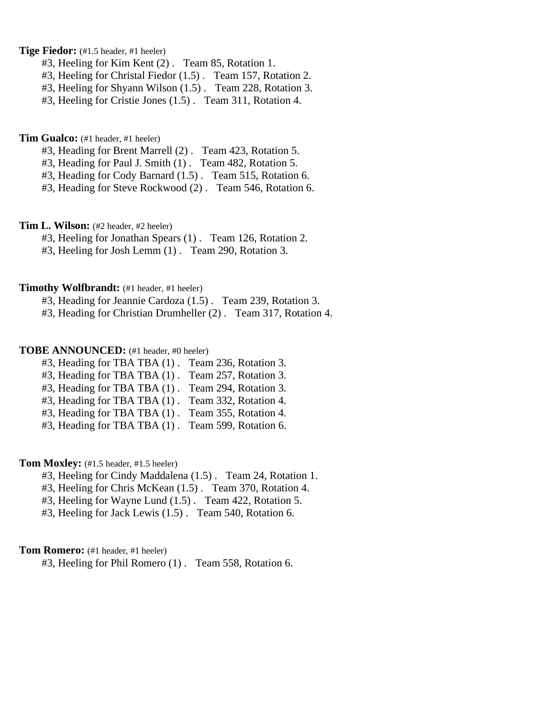**Tige Fiedor:** (#1.5 header, #1 heeler)

- #3, Heeling for Kim Kent (2) . Team 85, Rotation 1.
- #3, Heeling for Christal Fiedor (1.5) . Team 157, Rotation 2.
- #3, Heeling for Shyann Wilson (1.5) . Team 228, Rotation 3.
- #3, Heeling for Cristie Jones (1.5) . Team 311, Rotation 4.

**Tim Gualco:** (#1 header, #1 heeler)

- #3, Heading for Brent Marrell (2) . Team 423, Rotation 5.
- #3, Heading for Paul J. Smith (1) . Team 482, Rotation 5.
- #3, Heading for Cody Barnard (1.5) . Team 515, Rotation 6.
- #3, Heading for Steve Rockwood (2) . Team 546, Rotation 6.

**Tim L. Wilson:** (#2 header, #2 heeler)

#3, Heeling for Jonathan Spears (1) . Team 126, Rotation 2.

#3, Heeling for Josh Lemm (1) . Team 290, Rotation 3.

#### **Timothy Wolfbrandt:** (#1 header, #1 heeler)

- #3, Heading for Jeannie Cardoza (1.5) . Team 239, Rotation 3.
- #3, Heading for Christian Drumheller (2) . Team 317, Rotation 4.

# **TOBE ANNOUNCED:** (#1 header, #0 heeler)

- #3, Heading for TBA TBA (1) . Team 236, Rotation 3.
- #3, Heading for TBA TBA (1) . Team 257, Rotation 3.
- #3, Heading for TBA TBA (1) . Team 294, Rotation 3.
- #3, Heading for TBA TBA (1) . Team 332, Rotation 4.
- #3, Heading for TBA TBA (1) . Team 355, Rotation 4.
- #3, Heading for TBA TBA (1) . Team 599, Rotation 6.

# Tom Moxley: (#1.5 header, #1.5 heeler)

- #3, Heeling for Cindy Maddalena (1.5) . Team 24, Rotation 1.
- #3, Heeling for Chris McKean (1.5) . Team 370, Rotation 4.
- #3, Heeling for Wayne Lund (1.5) . Team 422, Rotation 5.
- #3, Heeling for Jack Lewis (1.5) . Team 540, Rotation 6.

#### **Tom Romero:** (#1 header, #1 heeler)

#3, Heeling for Phil Romero (1) . Team 558, Rotation 6.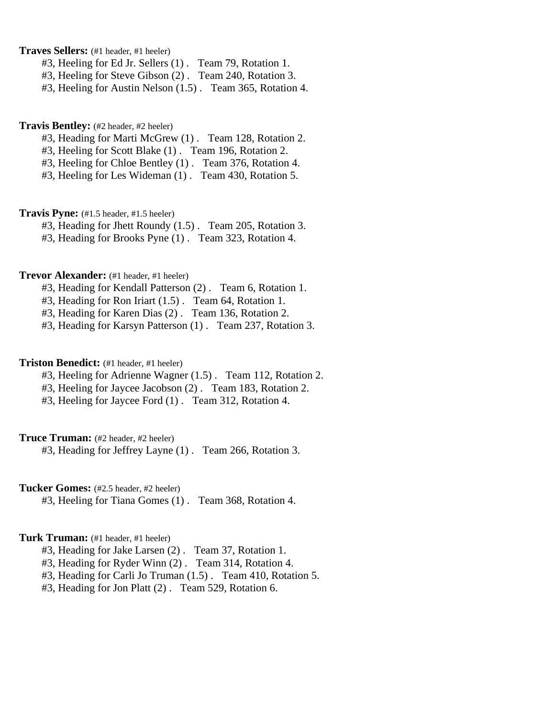**Traves Sellers:** (#1 header, #1 heeler)

- #3, Heeling for Ed Jr. Sellers (1) . Team 79, Rotation 1.
- #3, Heeling for Steve Gibson (2) . Team 240, Rotation 3.
- #3, Heeling for Austin Nelson (1.5) . Team 365, Rotation 4.

### **Travis Bentley:** (#2 header, #2 heeler)

- #3, Heading for Marti McGrew (1) . Team 128, Rotation 2.
- #3, Heeling for Scott Blake (1) . Team 196, Rotation 2.
- #3, Heeling for Chloe Bentley (1) . Team 376, Rotation 4.
- #3, Heeling for Les Wideman (1) . Team 430, Rotation 5.

**Travis Pyne:** (#1.5 header, #1.5 heeler)

#3, Heading for Jhett Roundy (1.5) . Team 205, Rotation 3.

#3, Heading for Brooks Pyne (1) . Team 323, Rotation 4.

### **Trevor Alexander:** (#1 header, #1 heeler)

#3, Heading for Kendall Patterson (2) . Team 6, Rotation 1.

#3, Heading for Ron Iriart (1.5) . Team 64, Rotation 1.

#3, Heading for Karen Dias (2) . Team 136, Rotation 2.

#3, Heading for Karsyn Patterson (1) . Team 237, Rotation 3.

### **Triston Benedict:** (#1 header, #1 heeler)

#3, Heeling for Adrienne Wagner (1.5) . Team 112, Rotation 2.

#3, Heeling for Jaycee Jacobson (2) . Team 183, Rotation 2.

#3, Heeling for Jaycee Ford (1) . Team 312, Rotation 4.

### **Truce Truman:** (#2 header, #2 heeler)

#3, Heading for Jeffrey Layne (1) . Team 266, Rotation 3.

**Tucker Gomes:** (#2.5 header, #2 heeler)

#3, Heeling for Tiana Gomes (1) . Team 368, Rotation 4.

# **Turk Truman:** (#1 header, #1 heeler)

#3, Heading for Jake Larsen (2) . Team 37, Rotation 1.

- #3, Heading for Ryder Winn (2) . Team 314, Rotation 4.
- #3, Heading for Carli Jo Truman (1.5) . Team 410, Rotation 5.
- #3, Heading for Jon Platt (2) . Team 529, Rotation 6.